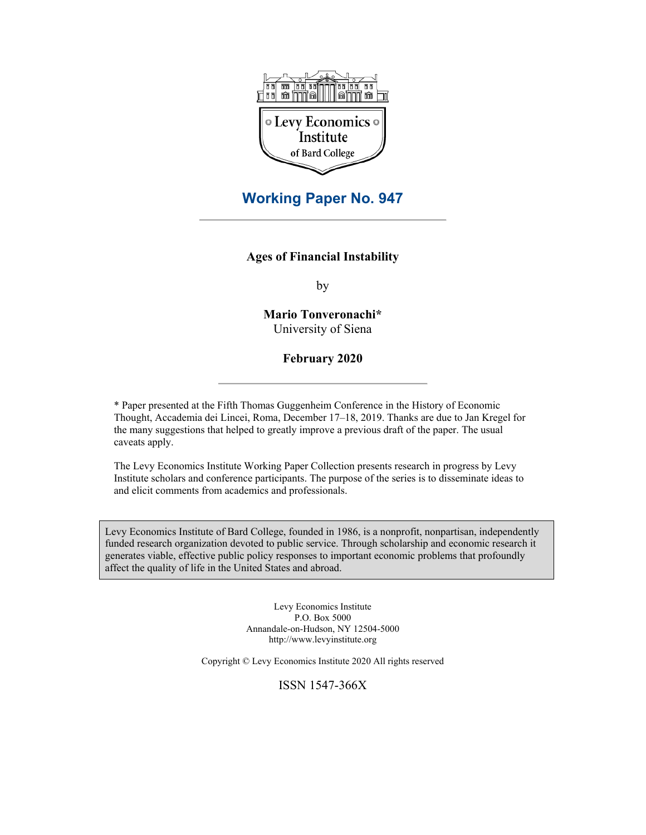

## **Working Paper No. 947**

## **Ages of Financial Instability**

by

**Mario Tonveronachi\***  University of Siena

**February 2020** 

\* Paper presented at the Fifth Thomas Guggenheim Conference in the History of Economic Thought, Accademia dei Lincei, Roma, December 17–18, 2019. Thanks are due to Jan Kregel for the many suggestions that helped to greatly improve a previous draft of the paper. The usual caveats apply.

The Levy Economics Institute Working Paper Collection presents research in progress by Levy Institute scholars and conference participants. The purpose of the series is to disseminate ideas to and elicit comments from academics and professionals.

Levy Economics Institute of Bard College, founded in 1986, is a nonprofit, nonpartisan, independently funded research organization devoted to public service. Through scholarship and economic research it generates viable, effective public policy responses to important economic problems that profoundly affect the quality of life in the United States and abroad.

> Levy Economics Institute P.O. Box 5000 Annandale-on-Hudson, NY 12504-5000 http://www.levyinstitute.org

Copyright © Levy Economics Institute 2020 All rights reserved

ISSN 1547-366X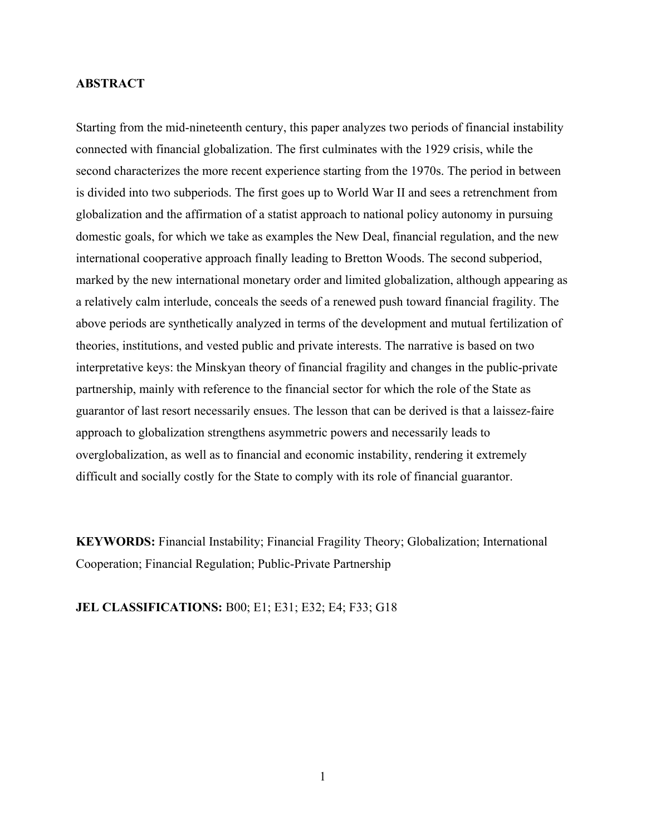## **ABSTRACT**

Starting from the mid-nineteenth century, this paper analyzes two periods of financial instability connected with financial globalization. The first culminates with the 1929 crisis, while the second characterizes the more recent experience starting from the 1970s. The period in between is divided into two subperiods. The first goes up to World War II and sees a retrenchment from globalization and the affirmation of a statist approach to national policy autonomy in pursuing domestic goals, for which we take as examples the New Deal, financial regulation, and the new international cooperative approach finally leading to Bretton Woods. The second subperiod, marked by the new international monetary order and limited globalization, although appearing as a relatively calm interlude, conceals the seeds of a renewed push toward financial fragility. The above periods are synthetically analyzed in terms of the development and mutual fertilization of theories, institutions, and vested public and private interests. The narrative is based on two interpretative keys: the Minskyan theory of financial fragility and changes in the public-private partnership, mainly with reference to the financial sector for which the role of the State as guarantor of last resort necessarily ensues. The lesson that can be derived is that a laissez-faire approach to globalization strengthens asymmetric powers and necessarily leads to overglobalization, as well as to financial and economic instability, rendering it extremely difficult and socially costly for the State to comply with its role of financial guarantor.

**KEYWORDS:** Financial Instability; Financial Fragility Theory; Globalization; International Cooperation; Financial Regulation; Public-Private Partnership

**JEL CLASSIFICATIONS:** B00; E1; E31; E32; E4; F33; G18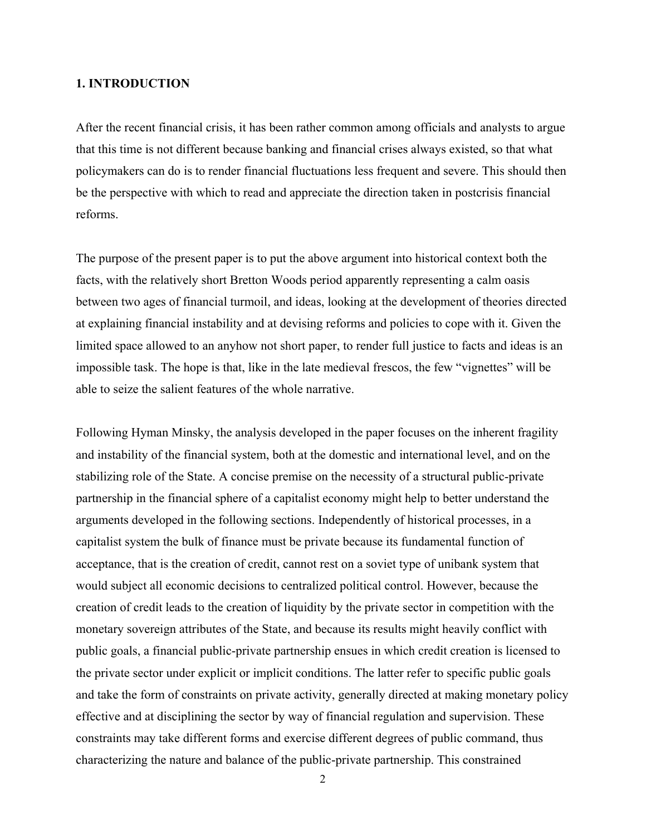### **1. INTRODUCTION**

After the recent financial crisis, it has been rather common among officials and analysts to argue that this time is not different because banking and financial crises always existed, so that what policymakers can do is to render financial fluctuations less frequent and severe. This should then be the perspective with which to read and appreciate the direction taken in postcrisis financial reforms.

The purpose of the present paper is to put the above argument into historical context both the facts, with the relatively short Bretton Woods period apparently representing a calm oasis between two ages of financial turmoil, and ideas, looking at the development of theories directed at explaining financial instability and at devising reforms and policies to cope with it. Given the limited space allowed to an anyhow not short paper, to render full justice to facts and ideas is an impossible task. The hope is that, like in the late medieval frescos, the few "vignettes" will be able to seize the salient features of the whole narrative.

Following Hyman Minsky, the analysis developed in the paper focuses on the inherent fragility and instability of the financial system, both at the domestic and international level, and on the stabilizing role of the State. A concise premise on the necessity of a structural public-private partnership in the financial sphere of a capitalist economy might help to better understand the arguments developed in the following sections. Independently of historical processes, in a capitalist system the bulk of finance must be private because its fundamental function of acceptance, that is the creation of credit, cannot rest on a soviet type of unibank system that would subject all economic decisions to centralized political control. However, because the creation of credit leads to the creation of liquidity by the private sector in competition with the monetary sovereign attributes of the State, and because its results might heavily conflict with public goals, a financial public-private partnership ensues in which credit creation is licensed to the private sector under explicit or implicit conditions. The latter refer to specific public goals and take the form of constraints on private activity, generally directed at making monetary policy effective and at disciplining the sector by way of financial regulation and supervision. These constraints may take different forms and exercise different degrees of public command, thus characterizing the nature and balance of the public-private partnership. This constrained

2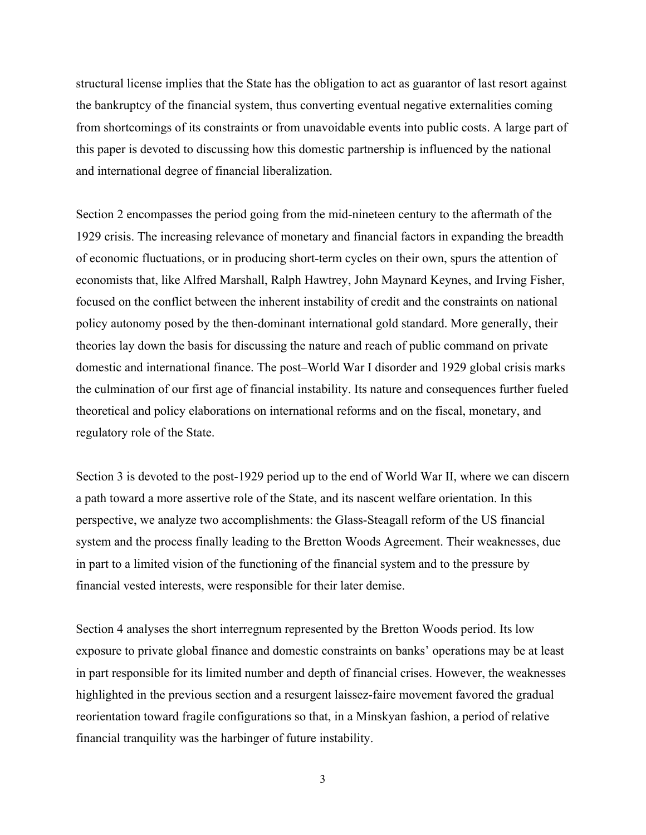structural license implies that the State has the obligation to act as guarantor of last resort against the bankruptcy of the financial system, thus converting eventual negative externalities coming from shortcomings of its constraints or from unavoidable events into public costs. A large part of this paper is devoted to discussing how this domestic partnership is influenced by the national and international degree of financial liberalization.

Section 2 encompasses the period going from the mid-nineteen century to the aftermath of the 1929 crisis. The increasing relevance of monetary and financial factors in expanding the breadth of economic fluctuations, or in producing short-term cycles on their own, spurs the attention of economists that, like Alfred Marshall, Ralph Hawtrey, John Maynard Keynes, and Irving Fisher, focused on the conflict between the inherent instability of credit and the constraints on national policy autonomy posed by the then-dominant international gold standard. More generally, their theories lay down the basis for discussing the nature and reach of public command on private domestic and international finance. The post–World War I disorder and 1929 global crisis marks the culmination of our first age of financial instability. Its nature and consequences further fueled theoretical and policy elaborations on international reforms and on the fiscal, monetary, and regulatory role of the State.

Section 3 is devoted to the post-1929 period up to the end of World War II, where we can discern a path toward a more assertive role of the State, and its nascent welfare orientation. In this perspective, we analyze two accomplishments: the Glass-Steagall reform of the US financial system and the process finally leading to the Bretton Woods Agreement. Their weaknesses, due in part to a limited vision of the functioning of the financial system and to the pressure by financial vested interests, were responsible for their later demise.

Section 4 analyses the short interregnum represented by the Bretton Woods period. Its low exposure to private global finance and domestic constraints on banks' operations may be at least in part responsible for its limited number and depth of financial crises. However, the weaknesses highlighted in the previous section and a resurgent laissez-faire movement favored the gradual reorientation toward fragile configurations so that, in a Minskyan fashion, a period of relative financial tranquility was the harbinger of future instability.

3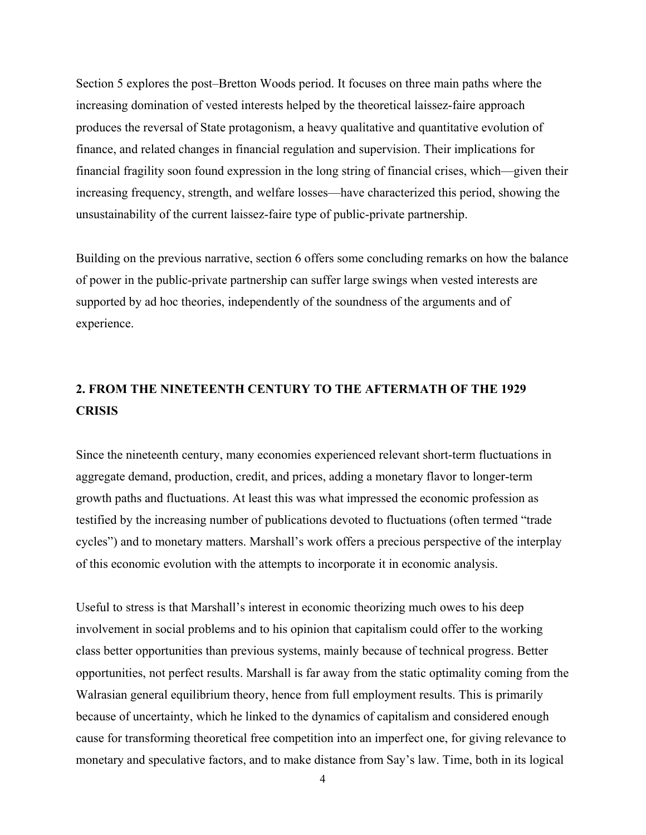Section 5 explores the post–Bretton Woods period. It focuses on three main paths where the increasing domination of vested interests helped by the theoretical laissez-faire approach produces the reversal of State protagonism, a heavy qualitative and quantitative evolution of finance, and related changes in financial regulation and supervision. Their implications for financial fragility soon found expression in the long string of financial crises, which—given their increasing frequency, strength, and welfare losses—have characterized this period, showing the unsustainability of the current laissez-faire type of public-private partnership.

Building on the previous narrative, section 6 offers some concluding remarks on how the balance of power in the public-private partnership can suffer large swings when vested interests are supported by ad hoc theories, independently of the soundness of the arguments and of experience.

# **2. FROM THE NINETEENTH CENTURY TO THE AFTERMATH OF THE 1929 CRISIS**

Since the nineteenth century, many economies experienced relevant short-term fluctuations in aggregate demand, production, credit, and prices, adding a monetary flavor to longer-term growth paths and fluctuations. At least this was what impressed the economic profession as testified by the increasing number of publications devoted to fluctuations (often termed "trade cycles") and to monetary matters. Marshall's work offers a precious perspective of the interplay of this economic evolution with the attempts to incorporate it in economic analysis.

Useful to stress is that Marshall's interest in economic theorizing much owes to his deep involvement in social problems and to his opinion that capitalism could offer to the working class better opportunities than previous systems, mainly because of technical progress. Better opportunities, not perfect results. Marshall is far away from the static optimality coming from the Walrasian general equilibrium theory, hence from full employment results. This is primarily because of uncertainty, which he linked to the dynamics of capitalism and considered enough cause for transforming theoretical free competition into an imperfect one, for giving relevance to monetary and speculative factors, and to make distance from Say's law. Time, both in its logical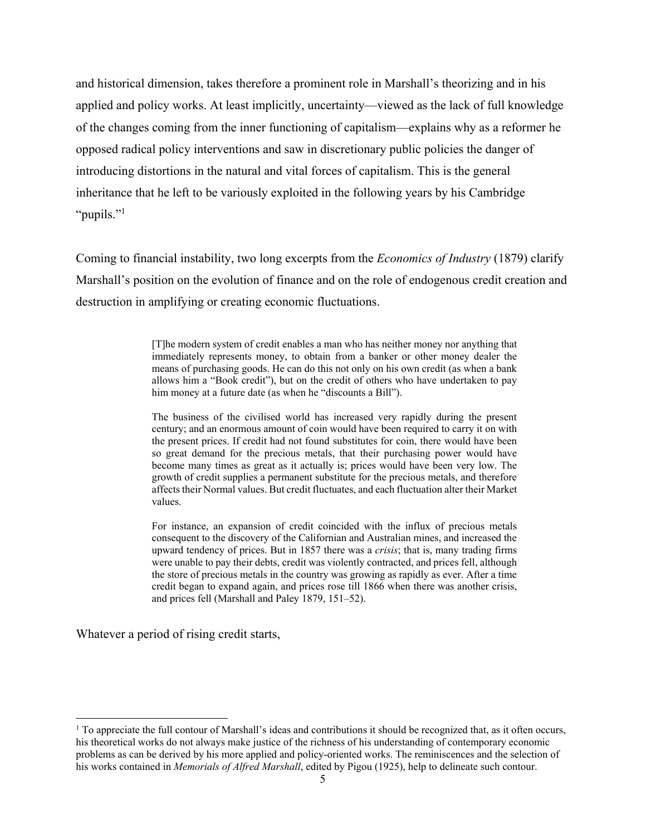and historical dimension, takes therefore a prominent role in Marshall's theorizing and in his applied and policy works. At least implicitly, uncertainty—viewed as the lack of full knowledge of the changes coming from the inner functioning of capitalism—explains why as a reformer he opposed radical policy interventions and saw in discretionary public policies the danger of introducing distortions in the natural and vital forces of capitalism. This is the general inheritance that he left to be variously exploited in the following years by his Cambridge "pupils."

Coming to financial instability, two long excerpts from the *Economics of Industry* (1879) clarify Marshall's position on the evolution of finance and on the role of endogenous credit creation and destruction in amplifying or creating economic fluctuations.

> [T]he modern system of credit enables a man who has neither money nor anything that immediately represents money, to obtain from a banker or other money dealer the means of purchasing goods. He can do this not only on his own credit (as when a bank allows him a "Book credit"), but on the credit of others who have undertaken to pay him money at a future date (as when he "discounts a Bill").

> The business of the civilised world has increased very rapidly during the present century; and an enormous amount of coin would have been required to carry it on with the present prices. If credit had not found substitutes for coin, there would have been so great demand for the precious metals, that their purchasing power would have become many times as great as it actually is; prices would have been very low. The growth of credit supplies a permanent substitute for the precious metals, and therefore affects their Normal values. But credit fluctuates, and each fluctuation alter their Market values.

> For instance, an expansion of credit coincided with the influx of precious metals consequent to the discovery of the Californian and Australian mines, and increased the upward tendency of prices. But in 1857 there was a *crisis*; that is, many trading firms were unable to pay their debts, credit was violently contracted, and prices fell, although the store of precious metals in the country was growing as rapidly as ever. After a time credit began to expand again, and prices rose till 1866 when there was another crisis, and prices fell (Marshall and Paley 1879, 151–52).

Whatever a period of rising credit starts,

 $<sup>1</sup>$  To appreciate the full contour of Marshall's ideas and contributions it should be recognized that, as it often occurs,</sup> his theoretical works do not always make justice of the richness of his understanding of contemporary economic problems as can be derived by his more applied and policy-oriented works. The reminiscences and the selection of his works contained in *Memorials of Alfred Marshall*, edited by Pigou (1925), help to delineate such contour.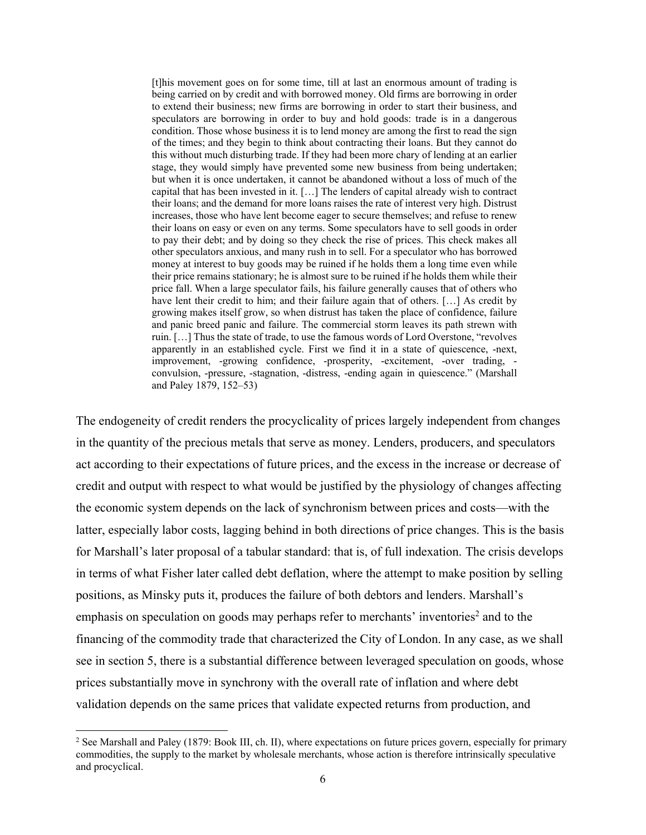[t]his movement goes on for some time, till at last an enormous amount of trading is being carried on by credit and with borrowed money. Old firms are borrowing in order to extend their business; new firms are borrowing in order to start their business, and speculators are borrowing in order to buy and hold goods: trade is in a dangerous condition. Those whose business it is to lend money are among the first to read the sign of the times; and they begin to think about contracting their loans. But they cannot do this without much disturbing trade. If they had been more chary of lending at an earlier stage, they would simply have prevented some new business from being undertaken; but when it is once undertaken, it cannot be abandoned without a loss of much of the capital that has been invested in it. […] The lenders of capital already wish to contract their loans; and the demand for more loans raises the rate of interest very high. Distrust increases, those who have lent become eager to secure themselves; and refuse to renew their loans on easy or even on any terms. Some speculators have to sell goods in order to pay their debt; and by doing so they check the rise of prices. This check makes all other speculators anxious, and many rush in to sell. For a speculator who has borrowed money at interest to buy goods may be ruined if he holds them a long time even while their price remains stationary; he is almost sure to be ruined if he holds them while their price fall. When a large speculator fails, his failure generally causes that of others who have lent their credit to him; and their failure again that of others. [...] As credit by growing makes itself grow, so when distrust has taken the place of confidence, failure and panic breed panic and failure. The commercial storm leaves its path strewn with ruin. […] Thus the state of trade, to use the famous words of Lord Overstone, "revolves apparently in an established cycle. First we find it in a state of quiescence, -next, improvement, -growing confidence, -prosperity, -excitement, -over trading, convulsion, -pressure, -stagnation, -distress, -ending again in quiescence." (Marshall and Paley 1879, 152–53)

The endogeneity of credit renders the procyclicality of prices largely independent from changes in the quantity of the precious metals that serve as money. Lenders, producers, and speculators act according to their expectations of future prices, and the excess in the increase or decrease of credit and output with respect to what would be justified by the physiology of changes affecting the economic system depends on the lack of synchronism between prices and costs—with the latter, especially labor costs, lagging behind in both directions of price changes. This is the basis for Marshall's later proposal of a tabular standard: that is, of full indexation. The crisis develops in terms of what Fisher later called debt deflation, where the attempt to make position by selling positions, as Minsky puts it, produces the failure of both debtors and lenders. Marshall's emphasis on speculation on goods may perhaps refer to merchants' inventories<sup>2</sup> and to the financing of the commodity trade that characterized the City of London. In any case, as we shall see in section 5, there is a substantial difference between leveraged speculation on goods, whose prices substantially move in synchrony with the overall rate of inflation and where debt validation depends on the same prices that validate expected returns from production, and

<sup>&</sup>lt;sup>2</sup> See Marshall and Paley (1879: Book III, ch. II), where expectations on future prices govern, especially for primary commodities, the supply to the market by wholesale merchants, whose action is therefore intrinsically speculative and procyclical.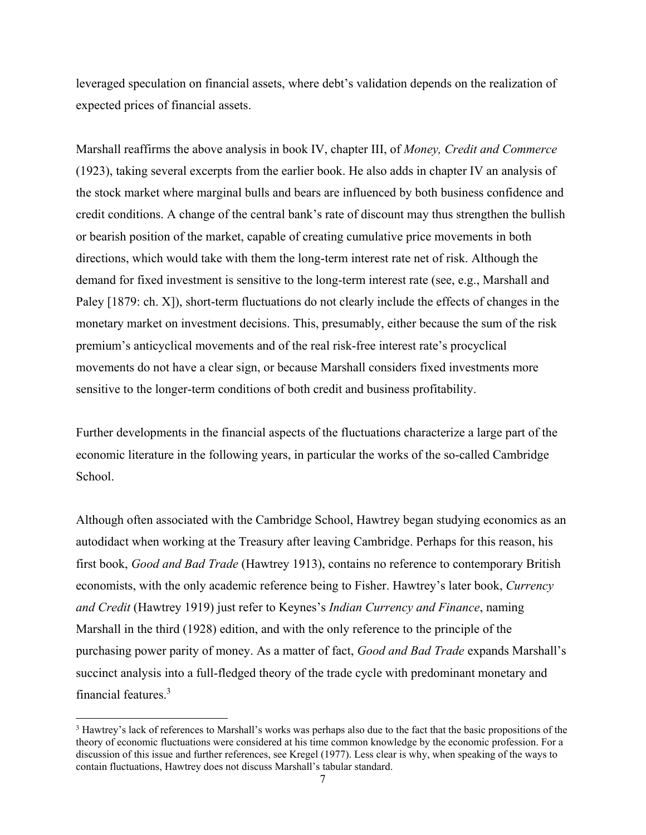leveraged speculation on financial assets, where debt's validation depends on the realization of expected prices of financial assets.

Marshall reaffirms the above analysis in book IV, chapter III, of *Money, Credit and Commerce* (1923), taking several excerpts from the earlier book. He also adds in chapter IV an analysis of the stock market where marginal bulls and bears are influenced by both business confidence and credit conditions. A change of the central bank's rate of discount may thus strengthen the bullish or bearish position of the market, capable of creating cumulative price movements in both directions, which would take with them the long-term interest rate net of risk. Although the demand for fixed investment is sensitive to the long-term interest rate (see, e.g., Marshall and Paley [1879: ch. X]), short-term fluctuations do not clearly include the effects of changes in the monetary market on investment decisions. This, presumably, either because the sum of the risk premium's anticyclical movements and of the real risk-free interest rate's procyclical movements do not have a clear sign, or because Marshall considers fixed investments more sensitive to the longer-term conditions of both credit and business profitability.

Further developments in the financial aspects of the fluctuations characterize a large part of the economic literature in the following years, in particular the works of the so-called Cambridge School.

Although often associated with the Cambridge School, Hawtrey began studying economics as an autodidact when working at the Treasury after leaving Cambridge. Perhaps for this reason, his first book, *Good and Bad Trade* (Hawtrey 1913), contains no reference to contemporary British economists, with the only academic reference being to Fisher. Hawtrey's later book, *Currency and Credit* (Hawtrey 1919) just refer to Keynes's *Indian Currency and Finance*, naming Marshall in the third (1928) edition, and with the only reference to the principle of the purchasing power parity of money. As a matter of fact, *Good and Bad Trade* expands Marshall's succinct analysis into a full-fledged theory of the trade cycle with predominant monetary and financial features.3

<sup>&</sup>lt;sup>3</sup> Hawtrey's lack of references to Marshall's works was perhaps also due to the fact that the basic propositions of the theory of economic fluctuations were considered at his time common knowledge by the economic profession. For a discussion of this issue and further references, see Kregel (1977). Less clear is why, when speaking of the ways to contain fluctuations, Hawtrey does not discuss Marshall's tabular standard.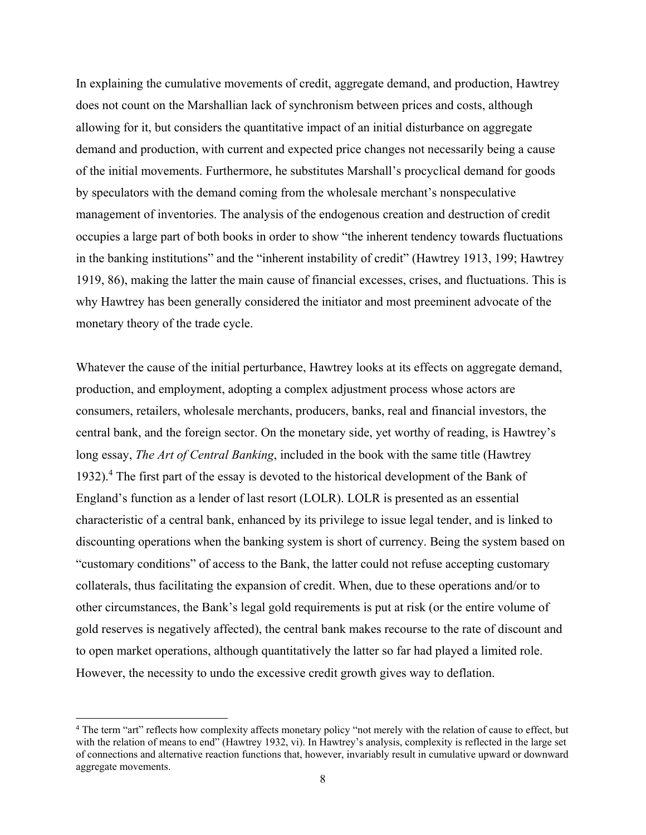In explaining the cumulative movements of credit, aggregate demand, and production, Hawtrey does not count on the Marshallian lack of synchronism between prices and costs, although allowing for it, but considers the quantitative impact of an initial disturbance on aggregate demand and production, with current and expected price changes not necessarily being a cause of the initial movements. Furthermore, he substitutes Marshall's procyclical demand for goods by speculators with the demand coming from the wholesale merchant's nonspeculative management of inventories. The analysis of the endogenous creation and destruction of credit occupies a large part of both books in order to show "the inherent tendency towards fluctuations in the banking institutions" and the "inherent instability of credit" (Hawtrey 1913, 199; Hawtrey 1919, 86), making the latter the main cause of financial excesses, crises, and fluctuations. This is why Hawtrey has been generally considered the initiator and most preeminent advocate of the monetary theory of the trade cycle.

Whatever the cause of the initial perturbance, Hawtrey looks at its effects on aggregate demand, production, and employment, adopting a complex adjustment process whose actors are consumers, retailers, wholesale merchants, producers, banks, real and financial investors, the central bank, and the foreign sector. On the monetary side, yet worthy of reading, is Hawtrey's long essay, *The Art of Central Banking*, included in the book with the same title (Hawtrey 1932).<sup>4</sup> The first part of the essay is devoted to the historical development of the Bank of England's function as a lender of last resort (LOLR). LOLR is presented as an essential characteristic of a central bank, enhanced by its privilege to issue legal tender, and is linked to discounting operations when the banking system is short of currency. Being the system based on "customary conditions" of access to the Bank, the latter could not refuse accepting customary collaterals, thus facilitating the expansion of credit. When, due to these operations and/or to other circumstances, the Bank's legal gold requirements is put at risk (or the entire volume of gold reserves is negatively affected), the central bank makes recourse to the rate of discount and to open market operations, although quantitatively the latter so far had played a limited role. However, the necessity to undo the excessive credit growth gives way to deflation.

<sup>&</sup>lt;sup>4</sup> The term "art" reflects how complexity affects monetary policy "not merely with the relation of cause to effect, but with the relation of means to end" (Hawtrey 1932, vi). In Hawtrey's analysis, complexity is reflected in the large set of connections and alternative reaction functions that, however, invariably result in cumulative upward or downward aggregate movements.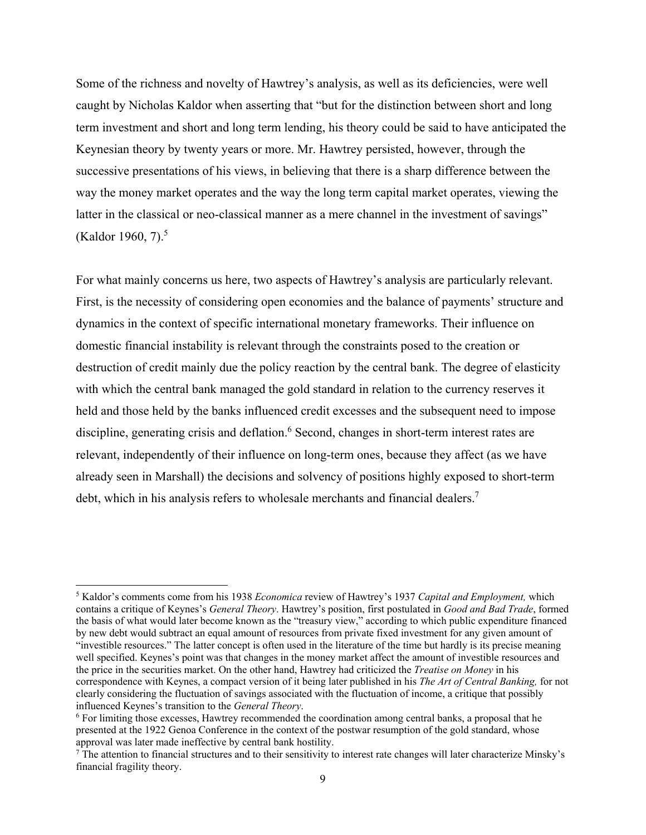Some of the richness and novelty of Hawtrey's analysis, as well as its deficiencies, were well caught by Nicholas Kaldor when asserting that "but for the distinction between short and long term investment and short and long term lending, his theory could be said to have anticipated the Keynesian theory by twenty years or more. Mr. Hawtrey persisted, however, through the successive presentations of his views, in believing that there is a sharp difference between the way the money market operates and the way the long term capital market operates, viewing the latter in the classical or neo-classical manner as a mere channel in the investment of savings" (Kaldor 1960, 7).<sup>5</sup>

For what mainly concerns us here, two aspects of Hawtrey's analysis are particularly relevant. First, is the necessity of considering open economies and the balance of payments' structure and dynamics in the context of specific international monetary frameworks. Their influence on domestic financial instability is relevant through the constraints posed to the creation or destruction of credit mainly due the policy reaction by the central bank. The degree of elasticity with which the central bank managed the gold standard in relation to the currency reserves it held and those held by the banks influenced credit excesses and the subsequent need to impose discipline, generating crisis and deflation.<sup>6</sup> Second, changes in short-term interest rates are relevant, independently of their influence on long-term ones, because they affect (as we have already seen in Marshall) the decisions and solvency of positions highly exposed to short-term debt, which in his analysis refers to wholesale merchants and financial dealers.<sup>7</sup>

<sup>5</sup> Kaldor's comments come from his 1938 *Economica* review of Hawtrey's 1937 *Capital and Employment,* which contains a critique of Keynes's *General Theory*. Hawtrey's position, first postulated in *Good and Bad Trade*, formed the basis of what would later become known as the "treasury view," according to which public expenditure financed by new debt would subtract an equal amount of resources from private fixed investment for any given amount of "investible resources." The latter concept is often used in the literature of the time but hardly is its precise meaning well specified. Keynes's point was that changes in the money market affect the amount of investible resources and the price in the securities market. On the other hand, Hawtrey had criticized the *Treatise on Money* in his correspondence with Keynes, a compact version of it being later published in his *The Art of Central Banking,* for not clearly considering the fluctuation of savings associated with the fluctuation of income, a critique that possibly influenced Keynes's transition to the *General Theory*. 6

<sup>&</sup>lt;sup>6</sup> For limiting those excesses, Hawtrey recommended the coordination among central banks, a proposal that he presented at the 1922 Genoa Conference in the context of the postwar resumption of the gold standard, whose approval was later made ineffective by central bank hostility.

 $7$  The attention to financial structures and to their sensitivity to interest rate changes will later characterize Minsky's financial fragility theory.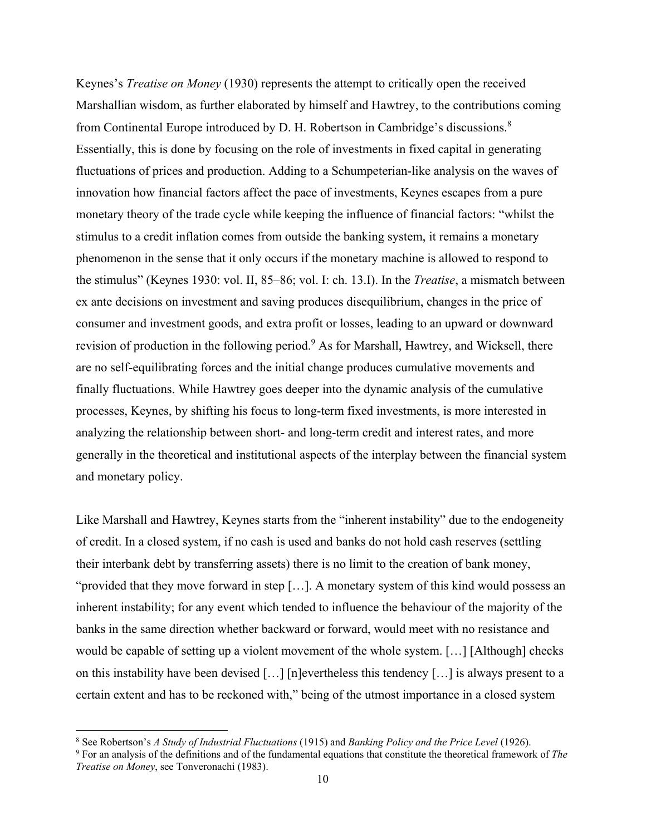Keynes's *Treatise on Money* (1930) represents the attempt to critically open the received Marshallian wisdom, as further elaborated by himself and Hawtrey, to the contributions coming from Continental Europe introduced by D. H. Robertson in Cambridge's discussions.<sup>8</sup> Essentially, this is done by focusing on the role of investments in fixed capital in generating fluctuations of prices and production. Adding to a Schumpeterian-like analysis on the waves of innovation how financial factors affect the pace of investments, Keynes escapes from a pure monetary theory of the trade cycle while keeping the influence of financial factors: "whilst the stimulus to a credit inflation comes from outside the banking system, it remains a monetary phenomenon in the sense that it only occurs if the monetary machine is allowed to respond to the stimulus" (Keynes 1930: vol. II, 85–86; vol. I: ch. 13.I). In the *Treatise*, a mismatch between ex ante decisions on investment and saving produces disequilibrium, changes in the price of consumer and investment goods, and extra profit or losses, leading to an upward or downward revision of production in the following period.<sup>9</sup> As for Marshall, Hawtrey, and Wicksell, there are no self-equilibrating forces and the initial change produces cumulative movements and finally fluctuations. While Hawtrey goes deeper into the dynamic analysis of the cumulative processes, Keynes, by shifting his focus to long-term fixed investments, is more interested in analyzing the relationship between short- and long-term credit and interest rates, and more generally in the theoretical and institutional aspects of the interplay between the financial system and monetary policy.

Like Marshall and Hawtrey, Keynes starts from the "inherent instability" due to the endogeneity of credit. In a closed system, if no cash is used and banks do not hold cash reserves (settling their interbank debt by transferring assets) there is no limit to the creation of bank money, "provided that they move forward in step […]. A monetary system of this kind would possess an inherent instability; for any event which tended to influence the behaviour of the majority of the banks in the same direction whether backward or forward, would meet with no resistance and would be capable of setting up a violent movement of the whole system. […] [Although] checks on this instability have been devised […] [n]evertheless this tendency […] is always present to a certain extent and has to be reckoned with," being of the utmost importance in a closed system

<sup>&</sup>lt;sup>8</sup> See Robertson's *A Study of Industrial Fluctuations* (1915) and *Banking Policy and the Price Level* (1926). <sup>9</sup> For an analysis of the definitions and of the fundamental equations that constitute the theoretical frame

For an analysis of the definitions and of the fundamental equations that constitute the theoretical framework of *The Treatise on Money*, see Tonveronachi (1983).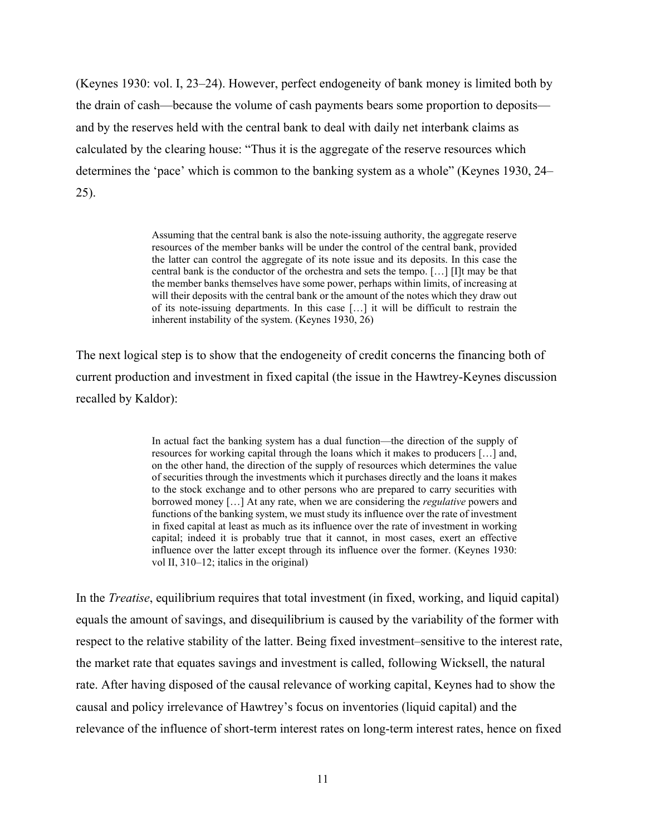(Keynes 1930: vol. I, 23–24). However, perfect endogeneity of bank money is limited both by the drain of cash—because the volume of cash payments bears some proportion to deposits and by the reserves held with the central bank to deal with daily net interbank claims as calculated by the clearing house: "Thus it is the aggregate of the reserve resources which determines the 'pace' which is common to the banking system as a whole" (Keynes 1930, 24– 25).

> Assuming that the central bank is also the note-issuing authority, the aggregate reserve resources of the member banks will be under the control of the central bank, provided the latter can control the aggregate of its note issue and its deposits. In this case the central bank is the conductor of the orchestra and sets the tempo. […] [I]t may be that the member banks themselves have some power, perhaps within limits, of increasing at will their deposits with the central bank or the amount of the notes which they draw out of its note-issuing departments. In this case […] it will be difficult to restrain the inherent instability of the system. (Keynes 1930, 26)

The next logical step is to show that the endogeneity of credit concerns the financing both of current production and investment in fixed capital (the issue in the Hawtrey-Keynes discussion recalled by Kaldor):

> In actual fact the banking system has a dual function—the direction of the supply of resources for working capital through the loans which it makes to producers […] and, on the other hand, the direction of the supply of resources which determines the value of securities through the investments which it purchases directly and the loans it makes to the stock exchange and to other persons who are prepared to carry securities with borrowed money […] At any rate, when we are considering the *regulative* powers and functions of the banking system, we must study its influence over the rate of investment in fixed capital at least as much as its influence over the rate of investment in working capital; indeed it is probably true that it cannot, in most cases, exert an effective influence over the latter except through its influence over the former. (Keynes 1930: vol II, 310–12; italics in the original)

In the *Treatise*, equilibrium requires that total investment (in fixed, working, and liquid capital) equals the amount of savings, and disequilibrium is caused by the variability of the former with respect to the relative stability of the latter. Being fixed investment–sensitive to the interest rate, the market rate that equates savings and investment is called, following Wicksell, the natural rate. After having disposed of the causal relevance of working capital, Keynes had to show the causal and policy irrelevance of Hawtrey's focus on inventories (liquid capital) and the relevance of the influence of short-term interest rates on long-term interest rates, hence on fixed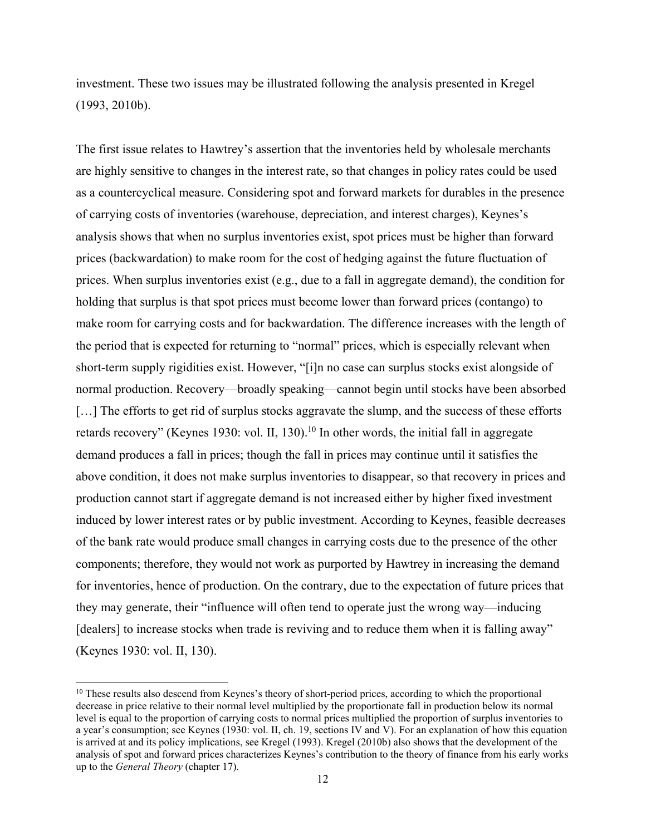investment. These two issues may be illustrated following the analysis presented in Kregel (1993, 2010b).

The first issue relates to Hawtrey's assertion that the inventories held by wholesale merchants are highly sensitive to changes in the interest rate, so that changes in policy rates could be used as a countercyclical measure. Considering spot and forward markets for durables in the presence of carrying costs of inventories (warehouse, depreciation, and interest charges), Keynes's analysis shows that when no surplus inventories exist, spot prices must be higher than forward prices (backwardation) to make room for the cost of hedging against the future fluctuation of prices. When surplus inventories exist (e.g., due to a fall in aggregate demand), the condition for holding that surplus is that spot prices must become lower than forward prices (contango) to make room for carrying costs and for backwardation. The difference increases with the length of the period that is expected for returning to "normal" prices, which is especially relevant when short-term supply rigidities exist. However, "[i]n no case can surplus stocks exist alongside of normal production. Recovery—broadly speaking—cannot begin until stocks have been absorbed [...] The efforts to get rid of surplus stocks aggravate the slump, and the success of these efforts retards recovery" (Keynes 1930: vol. II, 130).<sup>10</sup> In other words, the initial fall in aggregate demand produces a fall in prices; though the fall in prices may continue until it satisfies the above condition, it does not make surplus inventories to disappear, so that recovery in prices and production cannot start if aggregate demand is not increased either by higher fixed investment induced by lower interest rates or by public investment. According to Keynes, feasible decreases of the bank rate would produce small changes in carrying costs due to the presence of the other components; therefore, they would not work as purported by Hawtrey in increasing the demand for inventories, hence of production. On the contrary, due to the expectation of future prices that they may generate, their "influence will often tend to operate just the wrong way—inducing [dealers] to increase stocks when trade is reviving and to reduce them when it is falling away" (Keynes 1930: vol. II, 130).

<sup>&</sup>lt;sup>10</sup> These results also descend from Keynes's theory of short-period prices, according to which the proportional decrease in price relative to their normal level multiplied by the proportionate fall in production below its normal level is equal to the proportion of carrying costs to normal prices multiplied the proportion of surplus inventories to a year's consumption; see Keynes (1930: vol. II, ch. 19, sections IV and V). For an explanation of how this equation is arrived at and its policy implications, see Kregel (1993). Kregel (2010b) also shows that the development of the analysis of spot and forward prices characterizes Keynes's contribution to the theory of finance from his early works up to the *General Theory* (chapter 17).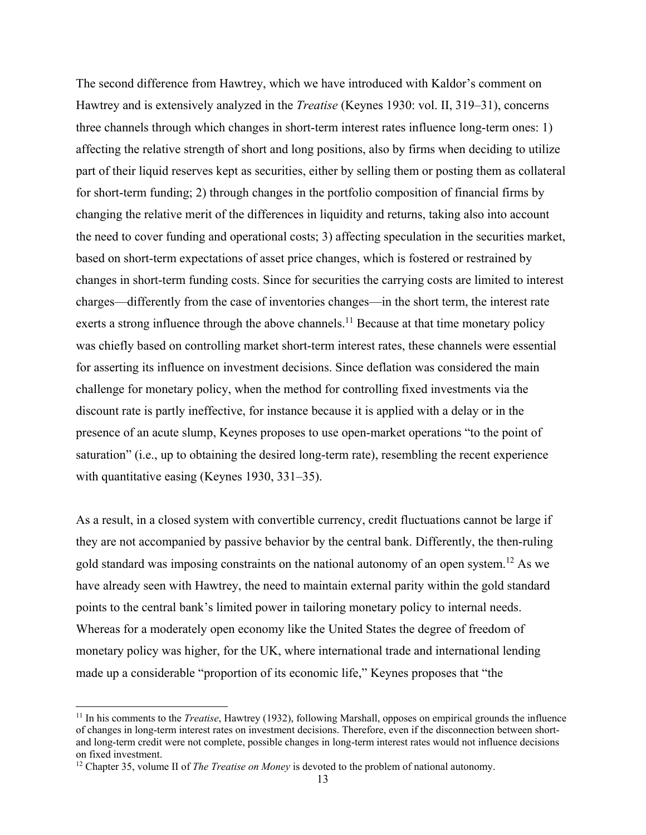The second difference from Hawtrey, which we have introduced with Kaldor's comment on Hawtrey and is extensively analyzed in the *Treatise* (Keynes 1930: vol. II, 319–31), concerns three channels through which changes in short-term interest rates influence long-term ones: 1) affecting the relative strength of short and long positions, also by firms when deciding to utilize part of their liquid reserves kept as securities, either by selling them or posting them as collateral for short-term funding; 2) through changes in the portfolio composition of financial firms by changing the relative merit of the differences in liquidity and returns, taking also into account the need to cover funding and operational costs; 3) affecting speculation in the securities market, based on short-term expectations of asset price changes, which is fostered or restrained by changes in short-term funding costs. Since for securities the carrying costs are limited to interest charges—differently from the case of inventories changes—in the short term, the interest rate exerts a strong influence through the above channels.<sup>11</sup> Because at that time monetary policy was chiefly based on controlling market short-term interest rates, these channels were essential for asserting its influence on investment decisions. Since deflation was considered the main challenge for monetary policy, when the method for controlling fixed investments via the discount rate is partly ineffective, for instance because it is applied with a delay or in the presence of an acute slump, Keynes proposes to use open-market operations "to the point of saturation" (i.e., up to obtaining the desired long-term rate), resembling the recent experience with quantitative easing (Keynes 1930, 331–35).

As a result, in a closed system with convertible currency, credit fluctuations cannot be large if they are not accompanied by passive behavior by the central bank. Differently, the then-ruling gold standard was imposing constraints on the national autonomy of an open system.<sup>12</sup> As we have already seen with Hawtrey, the need to maintain external parity within the gold standard points to the central bank's limited power in tailoring monetary policy to internal needs. Whereas for a moderately open economy like the United States the degree of freedom of monetary policy was higher, for the UK, where international trade and international lending made up a considerable "proportion of its economic life," Keynes proposes that "the

<sup>11</sup> In his comments to the *Treatise*, Hawtrey (1932), following Marshall, opposes on empirical grounds the influence of changes in long-term interest rates on investment decisions. Therefore, even if the disconnection between shortand long-term credit were not complete, possible changes in long-term interest rates would not influence decisions on fixed investment.

<sup>&</sup>lt;sup>12</sup> Chapter 35, volume II of *The Treatise on Money* is devoted to the problem of national autonomy.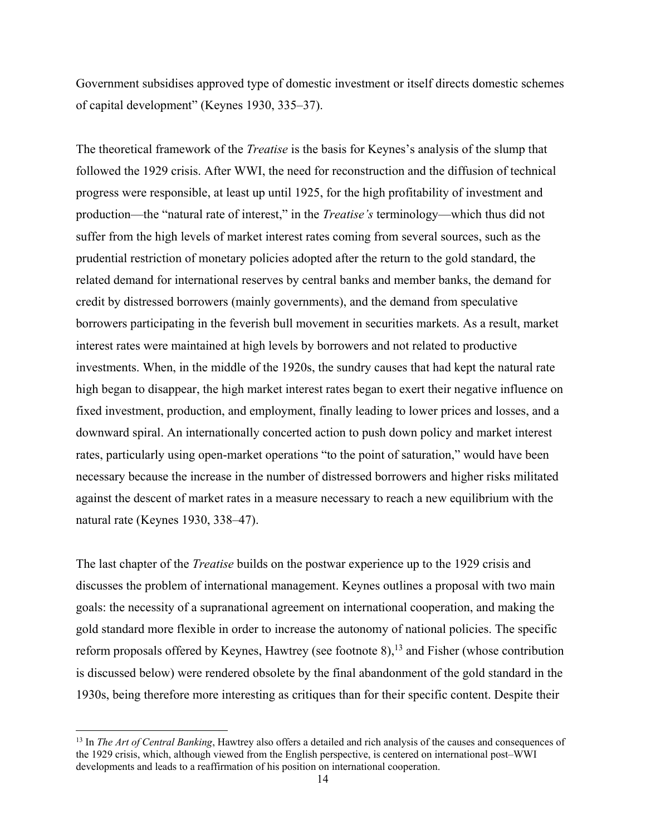Government subsidises approved type of domestic investment or itself directs domestic schemes of capital development" (Keynes 1930, 335–37).

The theoretical framework of the *Treatise* is the basis for Keynes's analysis of the slump that followed the 1929 crisis. After WWI, the need for reconstruction and the diffusion of technical progress were responsible, at least up until 1925, for the high profitability of investment and production—the "natural rate of interest," in the *Treatise's* terminology—which thus did not suffer from the high levels of market interest rates coming from several sources, such as the prudential restriction of monetary policies adopted after the return to the gold standard, the related demand for international reserves by central banks and member banks, the demand for credit by distressed borrowers (mainly governments), and the demand from speculative borrowers participating in the feverish bull movement in securities markets. As a result, market interest rates were maintained at high levels by borrowers and not related to productive investments. When, in the middle of the 1920s, the sundry causes that had kept the natural rate high began to disappear, the high market interest rates began to exert their negative influence on fixed investment, production, and employment, finally leading to lower prices and losses, and a downward spiral. An internationally concerted action to push down policy and market interest rates, particularly using open-market operations "to the point of saturation," would have been necessary because the increase in the number of distressed borrowers and higher risks militated against the descent of market rates in a measure necessary to reach a new equilibrium with the natural rate (Keynes 1930, 338–47).

The last chapter of the *Treatise* builds on the postwar experience up to the 1929 crisis and discusses the problem of international management. Keynes outlines a proposal with two main goals: the necessity of a supranational agreement on international cooperation, and making the gold standard more flexible in order to increase the autonomy of national policies. The specific reform proposals offered by Keynes, Hawtrey (see footnote  $8$ ),  $^{13}$  and Fisher (whose contribution is discussed below) were rendered obsolete by the final abandonment of the gold standard in the 1930s, being therefore more interesting as critiques than for their specific content. Despite their

<sup>&</sup>lt;sup>13</sup> In *The Art of Central Banking*, Hawtrey also offers a detailed and rich analysis of the causes and consequences of the 1929 crisis, which, although viewed from the English perspective, is centered on international post–WWI developments and leads to a reaffirmation of his position on international cooperation.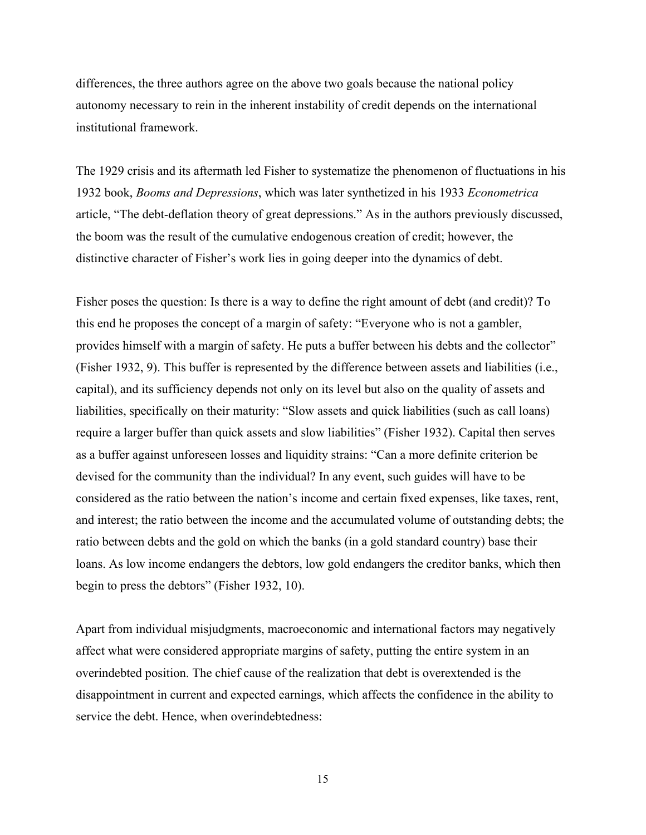differences, the three authors agree on the above two goals because the national policy autonomy necessary to rein in the inherent instability of credit depends on the international institutional framework.

The 1929 crisis and its aftermath led Fisher to systematize the phenomenon of fluctuations in his 1932 book, *Booms and Depressions*, which was later synthetized in his 1933 *Econometrica* article, "The debt-deflation theory of great depressions." As in the authors previously discussed, the boom was the result of the cumulative endogenous creation of credit; however, the distinctive character of Fisher's work lies in going deeper into the dynamics of debt.

Fisher poses the question: Is there is a way to define the right amount of debt (and credit)? To this end he proposes the concept of a margin of safety: "Everyone who is not a gambler, provides himself with a margin of safety. He puts a buffer between his debts and the collector" (Fisher 1932, 9). This buffer is represented by the difference between assets and liabilities (i.e., capital), and its sufficiency depends not only on its level but also on the quality of assets and liabilities, specifically on their maturity: "Slow assets and quick liabilities (such as call loans) require a larger buffer than quick assets and slow liabilities" (Fisher 1932). Capital then serves as a buffer against unforeseen losses and liquidity strains: "Can a more definite criterion be devised for the community than the individual? In any event, such guides will have to be considered as the ratio between the nation's income and certain fixed expenses, like taxes, rent, and interest; the ratio between the income and the accumulated volume of outstanding debts; the ratio between debts and the gold on which the banks (in a gold standard country) base their loans. As low income endangers the debtors, low gold endangers the creditor banks, which then begin to press the debtors" (Fisher 1932, 10).

Apart from individual misjudgments, macroeconomic and international factors may negatively affect what were considered appropriate margins of safety, putting the entire system in an overindebted position. The chief cause of the realization that debt is overextended is the disappointment in current and expected earnings, which affects the confidence in the ability to service the debt. Hence, when overindebtedness:

15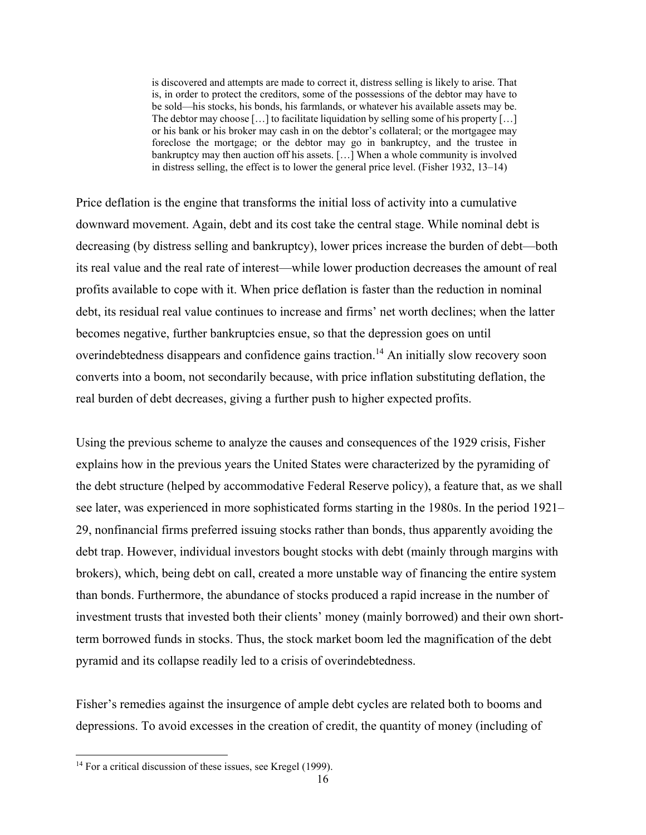is discovered and attempts are made to correct it, distress selling is likely to arise. That is, in order to protect the creditors, some of the possessions of the debtor may have to be sold—his stocks, his bonds, his farmlands, or whatever his available assets may be. The debtor may choose [...] to facilitate liquidation by selling some of his property [...] or his bank or his broker may cash in on the debtor's collateral; or the mortgagee may foreclose the mortgage; or the debtor may go in bankruptcy, and the trustee in bankruptcy may then auction off his assets. […] When a whole community is involved in distress selling, the effect is to lower the general price level. (Fisher 1932, 13–14)

Price deflation is the engine that transforms the initial loss of activity into a cumulative downward movement. Again, debt and its cost take the central stage. While nominal debt is decreasing (by distress selling and bankruptcy), lower prices increase the burden of debt—both its real value and the real rate of interest—while lower production decreases the amount of real profits available to cope with it. When price deflation is faster than the reduction in nominal debt, its residual real value continues to increase and firms' net worth declines; when the latter becomes negative, further bankruptcies ensue, so that the depression goes on until overindebtedness disappears and confidence gains traction.<sup>14</sup> An initially slow recovery soon converts into a boom, not secondarily because, with price inflation substituting deflation, the real burden of debt decreases, giving a further push to higher expected profits.

Using the previous scheme to analyze the causes and consequences of the 1929 crisis, Fisher explains how in the previous years the United States were characterized by the pyramiding of the debt structure (helped by accommodative Federal Reserve policy), a feature that, as we shall see later, was experienced in more sophisticated forms starting in the 1980s. In the period 1921– 29, nonfinancial firms preferred issuing stocks rather than bonds, thus apparently avoiding the debt trap. However, individual investors bought stocks with debt (mainly through margins with brokers), which, being debt on call, created a more unstable way of financing the entire system than bonds. Furthermore, the abundance of stocks produced a rapid increase in the number of investment trusts that invested both their clients' money (mainly borrowed) and their own shortterm borrowed funds in stocks. Thus, the stock market boom led the magnification of the debt pyramid and its collapse readily led to a crisis of overindebtedness.

Fisher's remedies against the insurgence of ample debt cycles are related both to booms and depressions. To avoid excesses in the creation of credit, the quantity of money (including of

 $14$  For a critical discussion of these issues, see Kregel (1999).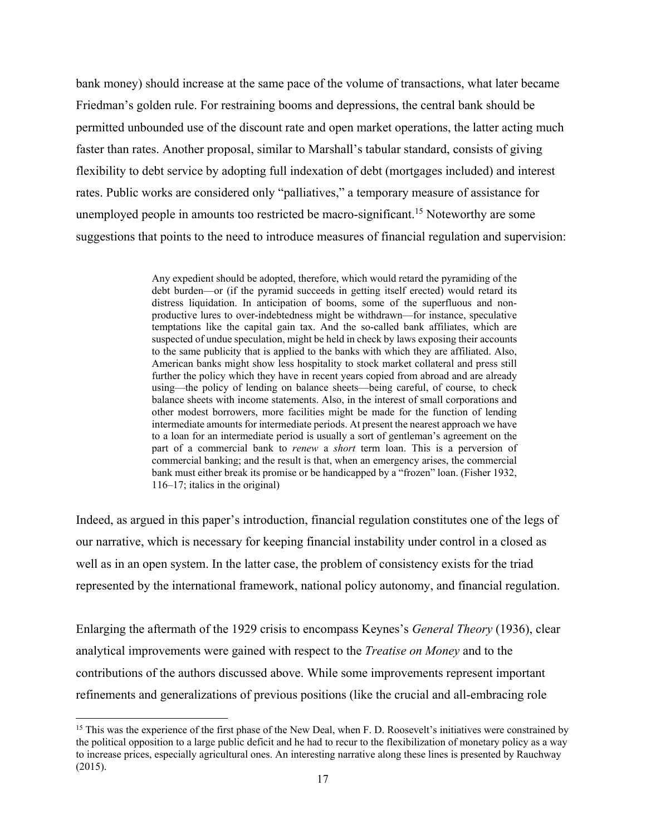bank money) should increase at the same pace of the volume of transactions, what later became Friedman's golden rule. For restraining booms and depressions, the central bank should be permitted unbounded use of the discount rate and open market operations, the latter acting much faster than rates. Another proposal, similar to Marshall's tabular standard, consists of giving flexibility to debt service by adopting full indexation of debt (mortgages included) and interest rates. Public works are considered only "palliatives," a temporary measure of assistance for unemployed people in amounts too restricted be macro-significant.<sup>15</sup> Noteworthy are some suggestions that points to the need to introduce measures of financial regulation and supervision:

> Any expedient should be adopted, therefore, which would retard the pyramiding of the debt burden—or (if the pyramid succeeds in getting itself erected) would retard its distress liquidation. In anticipation of booms, some of the superfluous and nonproductive lures to over-indebtedness might be withdrawn—for instance, speculative temptations like the capital gain tax. And the so-called bank affiliates, which are suspected of undue speculation, might be held in check by laws exposing their accounts to the same publicity that is applied to the banks with which they are affiliated. Also, American banks might show less hospitality to stock market collateral and press still further the policy which they have in recent years copied from abroad and are already using—the policy of lending on balance sheets—being careful, of course, to check balance sheets with income statements. Also, in the interest of small corporations and other modest borrowers, more facilities might be made for the function of lending intermediate amounts for intermediate periods. At present the nearest approach we have to a loan for an intermediate period is usually a sort of gentleman's agreement on the part of a commercial bank to *renew* a *short* term loan. This is a perversion of commercial banking; and the result is that, when an emergency arises, the commercial bank must either break its promise or be handicapped by a "frozen" loan. (Fisher 1932, 116–17; italics in the original)

Indeed, as argued in this paper's introduction, financial regulation constitutes one of the legs of our narrative, which is necessary for keeping financial instability under control in a closed as well as in an open system. In the latter case, the problem of consistency exists for the triad represented by the international framework, national policy autonomy, and financial regulation.

Enlarging the aftermath of the 1929 crisis to encompass Keynes's *General Theory* (1936), clear analytical improvements were gained with respect to the *Treatise on Money* and to the contributions of the authors discussed above. While some improvements represent important refinements and generalizations of previous positions (like the crucial and all-embracing role

<sup>&</sup>lt;sup>15</sup> This was the experience of the first phase of the New Deal, when F. D. Roosevelt's initiatives were constrained by the political opposition to a large public deficit and he had to recur to the flexibilization of monetary policy as a way to increase prices, especially agricultural ones. An interesting narrative along these lines is presented by Rauchway (2015).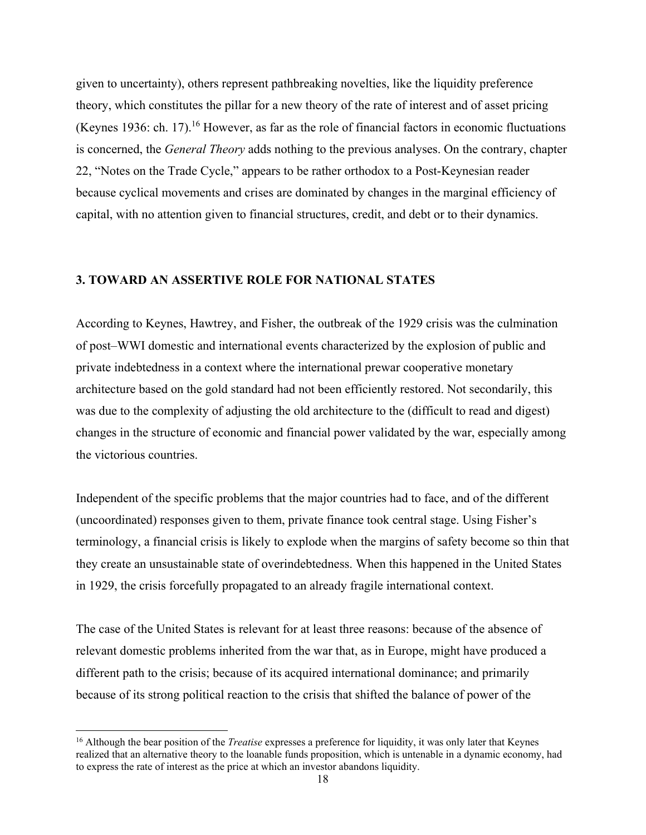given to uncertainty), others represent pathbreaking novelties, like the liquidity preference theory, which constitutes the pillar for a new theory of the rate of interest and of asset pricing (Keynes 1936: ch. 17).<sup>16</sup> However, as far as the role of financial factors in economic fluctuations is concerned, the *General Theory* adds nothing to the previous analyses. On the contrary, chapter 22, "Notes on the Trade Cycle," appears to be rather orthodox to a Post-Keynesian reader because cyclical movements and crises are dominated by changes in the marginal efficiency of capital, with no attention given to financial structures, credit, and debt or to their dynamics.

## **3. TOWARD AN ASSERTIVE ROLE FOR NATIONAL STATES**

According to Keynes, Hawtrey, and Fisher, the outbreak of the 1929 crisis was the culmination of post–WWI domestic and international events characterized by the explosion of public and private indebtedness in a context where the international prewar cooperative monetary architecture based on the gold standard had not been efficiently restored. Not secondarily, this was due to the complexity of adjusting the old architecture to the (difficult to read and digest) changes in the structure of economic and financial power validated by the war, especially among the victorious countries.

Independent of the specific problems that the major countries had to face, and of the different (uncoordinated) responses given to them, private finance took central stage. Using Fisher's terminology, a financial crisis is likely to explode when the margins of safety become so thin that they create an unsustainable state of overindebtedness. When this happened in the United States in 1929, the crisis forcefully propagated to an already fragile international context.

The case of the United States is relevant for at least three reasons: because of the absence of relevant domestic problems inherited from the war that, as in Europe, might have produced a different path to the crisis; because of its acquired international dominance; and primarily because of its strong political reaction to the crisis that shifted the balance of power of the

<sup>&</sup>lt;sup>16</sup> Although the bear position of the *Treatise* expresses a preference for liquidity, it was only later that Keynes realized that an alternative theory to the loanable funds proposition, which is untenable in a dynamic economy, had to express the rate of interest as the price at which an investor abandons liquidity.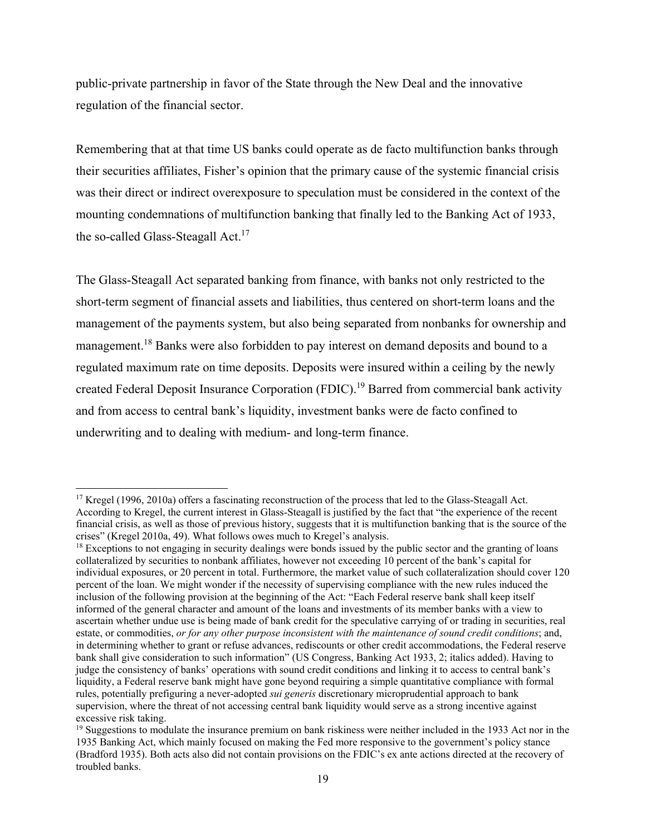public-private partnership in favor of the State through the New Deal and the innovative regulation of the financial sector.

Remembering that at that time US banks could operate as de facto multifunction banks through their securities affiliates, Fisher's opinion that the primary cause of the systemic financial crisis was their direct or indirect overexposure to speculation must be considered in the context of the mounting condemnations of multifunction banking that finally led to the Banking Act of 1933, the so-called Glass-Steagall Act.<sup>17</sup>

The Glass-Steagall Act separated banking from finance, with banks not only restricted to the short-term segment of financial assets and liabilities, thus centered on short-term loans and the management of the payments system, but also being separated from nonbanks for ownership and management.<sup>18</sup> Banks were also forbidden to pay interest on demand deposits and bound to a regulated maximum rate on time deposits. Deposits were insured within a ceiling by the newly created Federal Deposit Insurance Corporation (FDIC).19 Barred from commercial bank activity and from access to central bank's liquidity, investment banks were de facto confined to underwriting and to dealing with medium- and long-term finance.

<sup>&</sup>lt;sup>17</sup> Kregel (1996, 2010a) offers a fascinating reconstruction of the process that led to the Glass-Steagall Act. According to Kregel, the current interest in Glass-Steagall is justified by the fact that "the experience of the recent financial crisis, as well as those of previous history, suggests that it is multifunction banking that is the source of the crises" (Kregel 2010a, 49). What follows owes much to Kregel's analysis.<br><sup>18</sup> Exceptions to not engaging in security dealings were bonds issued by the public sector and the granting of loans

collateralized by securities to nonbank affiliates, however not exceeding 10 percent of the bank's capital for individual exposures, or 20 percent in total. Furthermore, the market value of such collateralization should cover 120 percent of the loan. We might wonder if the necessity of supervising compliance with the new rules induced the inclusion of the following provision at the beginning of the Act: "Each Federal reserve bank shall keep itself informed of the general character and amount of the loans and investments of its member banks with a view to ascertain whether undue use is being made of bank credit for the speculative carrying of or trading in securities, real estate, or commodities, *or for any other purpose inconsistent with the maintenance of sound credit conditions*; and, in determining whether to grant or refuse advances, rediscounts or other credit accommodations, the Federal reserve bank shall give consideration to such information" (US Congress, Banking Act 1933, 2; italics added). Having to judge the consistency of banks' operations with sound credit conditions and linking it to access to central bank's liquidity, a Federal reserve bank might have gone beyond requiring a simple quantitative compliance with formal rules, potentially prefiguring a never-adopted *sui generis* discretionary microprudential approach to bank supervision, where the threat of not accessing central bank liquidity would serve as a strong incentive against excessive risk taking.

<sup>&</sup>lt;sup>19</sup> Suggestions to modulate the insurance premium on bank riskiness were neither included in the 1933 Act nor in the 1935 Banking Act, which mainly focused on making the Fed more responsive to the government's policy stance (Bradford 1935). Both acts also did not contain provisions on the FDIC's ex ante actions directed at the recovery of troubled banks.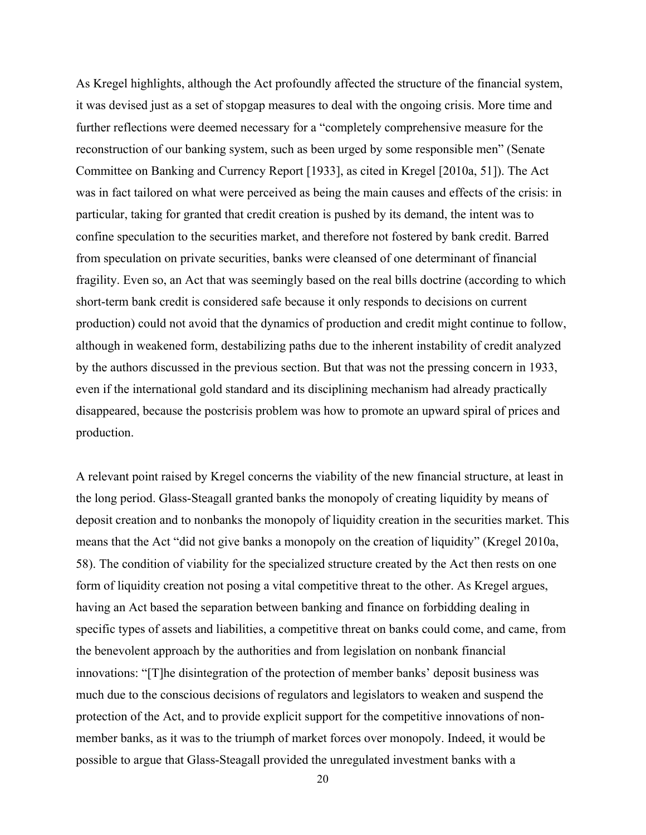As Kregel highlights, although the Act profoundly affected the structure of the financial system, it was devised just as a set of stopgap measures to deal with the ongoing crisis. More time and further reflections were deemed necessary for a "completely comprehensive measure for the reconstruction of our banking system, such as been urged by some responsible men" (Senate Committee on Banking and Currency Report [1933], as cited in Kregel [2010a, 51]). The Act was in fact tailored on what were perceived as being the main causes and effects of the crisis: in particular, taking for granted that credit creation is pushed by its demand, the intent was to confine speculation to the securities market, and therefore not fostered by bank credit. Barred from speculation on private securities, banks were cleansed of one determinant of financial fragility. Even so, an Act that was seemingly based on the real bills doctrine (according to which short-term bank credit is considered safe because it only responds to decisions on current production) could not avoid that the dynamics of production and credit might continue to follow, although in weakened form, destabilizing paths due to the inherent instability of credit analyzed by the authors discussed in the previous section. But that was not the pressing concern in 1933, even if the international gold standard and its disciplining mechanism had already practically disappeared, because the postcrisis problem was how to promote an upward spiral of prices and production.

A relevant point raised by Kregel concerns the viability of the new financial structure, at least in the long period. Glass-Steagall granted banks the monopoly of creating liquidity by means of deposit creation and to nonbanks the monopoly of liquidity creation in the securities market. This means that the Act "did not give banks a monopoly on the creation of liquidity" (Kregel 2010a, 58). The condition of viability for the specialized structure created by the Act then rests on one form of liquidity creation not posing a vital competitive threat to the other. As Kregel argues, having an Act based the separation between banking and finance on forbidding dealing in specific types of assets and liabilities, a competitive threat on banks could come, and came, from the benevolent approach by the authorities and from legislation on nonbank financial innovations: "[T]he disintegration of the protection of member banks' deposit business was much due to the conscious decisions of regulators and legislators to weaken and suspend the protection of the Act, and to provide explicit support for the competitive innovations of nonmember banks, as it was to the triumph of market forces over monopoly. Indeed, it would be possible to argue that Glass-Steagall provided the unregulated investment banks with a

20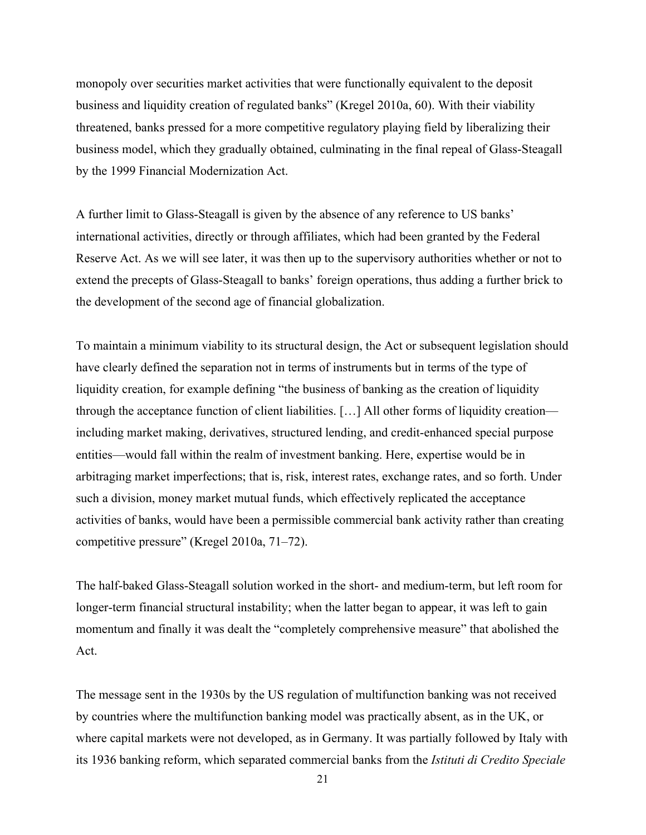monopoly over securities market activities that were functionally equivalent to the deposit business and liquidity creation of regulated banks" (Kregel 2010a, 60). With their viability threatened, banks pressed for a more competitive regulatory playing field by liberalizing their business model, which they gradually obtained, culminating in the final repeal of Glass-Steagall by the 1999 Financial Modernization Act.

A further limit to Glass-Steagall is given by the absence of any reference to US banks' international activities, directly or through affiliates, which had been granted by the Federal Reserve Act. As we will see later, it was then up to the supervisory authorities whether or not to extend the precepts of Glass-Steagall to banks' foreign operations, thus adding a further brick to the development of the second age of financial globalization.

To maintain a minimum viability to its structural design, the Act or subsequent legislation should have clearly defined the separation not in terms of instruments but in terms of the type of liquidity creation, for example defining "the business of banking as the creation of liquidity through the acceptance function of client liabilities. […] All other forms of liquidity creation including market making, derivatives, structured lending, and credit-enhanced special purpose entities—would fall within the realm of investment banking. Here, expertise would be in arbitraging market imperfections; that is, risk, interest rates, exchange rates, and so forth. Under such a division, money market mutual funds, which effectively replicated the acceptance activities of banks, would have been a permissible commercial bank activity rather than creating competitive pressure" (Kregel 2010a, 71–72).

The half-baked Glass-Steagall solution worked in the short- and medium-term, but left room for longer-term financial structural instability; when the latter began to appear, it was left to gain momentum and finally it was dealt the "completely comprehensive measure" that abolished the Act.

The message sent in the 1930s by the US regulation of multifunction banking was not received by countries where the multifunction banking model was practically absent, as in the UK, or where capital markets were not developed, as in Germany. It was partially followed by Italy with its 1936 banking reform, which separated commercial banks from the *Istituti di Credito Speciale*

21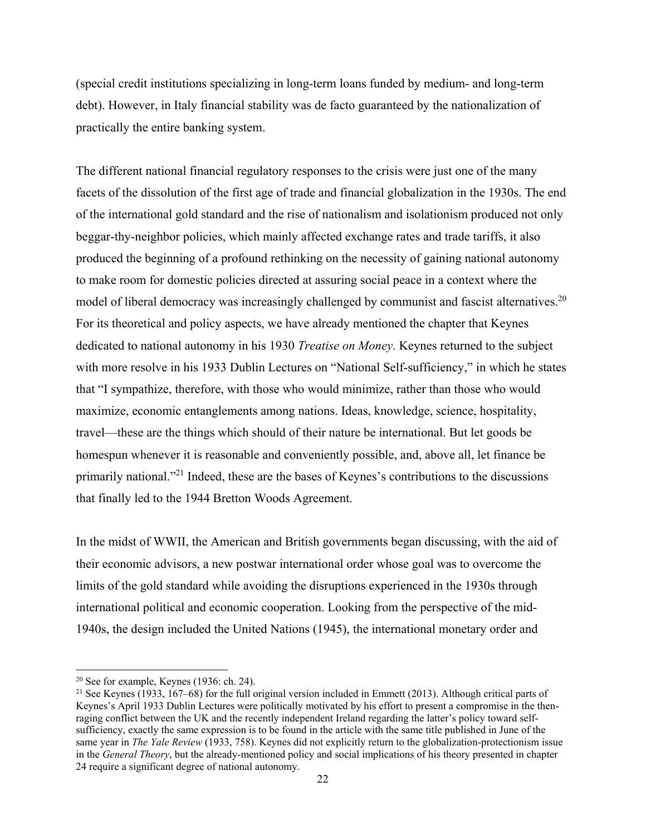(special credit institutions specializing in long-term loans funded by medium- and long-term debt). However, in Italy financial stability was de facto guaranteed by the nationalization of practically the entire banking system.

The different national financial regulatory responses to the crisis were just one of the many facets of the dissolution of the first age of trade and financial globalization in the 1930s. The end of the international gold standard and the rise of nationalism and isolationism produced not only beggar-thy-neighbor policies, which mainly affected exchange rates and trade tariffs, it also produced the beginning of a profound rethinking on the necessity of gaining national autonomy to make room for domestic policies directed at assuring social peace in a context where the model of liberal democracy was increasingly challenged by communist and fascist alternatives.<sup>20</sup> For its theoretical and policy aspects, we have already mentioned the chapter that Keynes dedicated to national autonomy in his 1930 *Treatise on Money*. Keynes returned to the subject with more resolve in his 1933 Dublin Lectures on "National Self-sufficiency," in which he states that "I sympathize, therefore, with those who would minimize, rather than those who would maximize, economic entanglements among nations. Ideas, knowledge, science, hospitality, travel—these are the things which should of their nature be international. But let goods be homespun whenever it is reasonable and conveniently possible, and, above all, let finance be primarily national."21 Indeed, these are the bases of Keynes's contributions to the discussions that finally led to the 1944 Bretton Woods Agreement.

In the midst of WWII, the American and British governments began discussing, with the aid of their economic advisors, a new postwar international order whose goal was to overcome the limits of the gold standard while avoiding the disruptions experienced in the 1930s through international political and economic cooperation. Looking from the perspective of the mid-1940s, the design included the United Nations (1945), the international monetary order and

 $20$  See for example, Keynes (1936: ch. 24).

<sup>&</sup>lt;sup>21</sup> See Keynes (1933, 167–68) for the full original version included in Emmett (2013). Although critical parts of Keynes's April 1933 Dublin Lectures were politically motivated by his effort to present a compromise in the thenraging conflict between the UK and the recently independent Ireland regarding the latter's policy toward selfsufficiency, exactly the same expression is to be found in the article with the same title published in June of the same year in *The Yale Review* (1933, 758). Keynes did not explicitly return to the globalization-protectionism issue in the *General Theory*, but the already-mentioned policy and social implications of his theory presented in chapter 24 require a significant degree of national autonomy.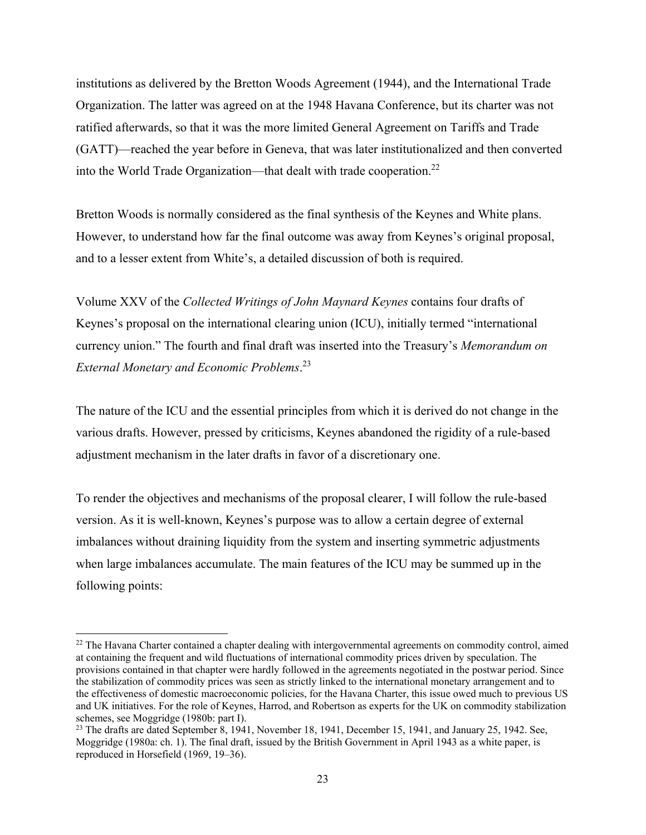institutions as delivered by the Bretton Woods Agreement (1944), and the International Trade Organization. The latter was agreed on at the 1948 Havana Conference, but its charter was not ratified afterwards, so that it was the more limited General Agreement on Tariffs and Trade (GATT)—reached the year before in Geneva, that was later institutionalized and then converted into the World Trade Organization—that dealt with trade cooperation.<sup>22</sup>

Bretton Woods is normally considered as the final synthesis of the Keynes and White plans. However, to understand how far the final outcome was away from Keynes's original proposal, and to a lesser extent from White's, a detailed discussion of both is required.

Volume XXV of the *Collected Writings of John Maynard Keynes* contains four drafts of Keynes's proposal on the international clearing union (ICU), initially termed "international currency union." The fourth and final draft was inserted into the Treasury's *Memorandum on External Monetary and Economic Problems*. 23

The nature of the ICU and the essential principles from which it is derived do not change in the various drafts. However, pressed by criticisms, Keynes abandoned the rigidity of a rule-based adjustment mechanism in the later drafts in favor of a discretionary one.

To render the objectives and mechanisms of the proposal clearer, I will follow the rule-based version. As it is well-known, Keynes's purpose was to allow a certain degree of external imbalances without draining liquidity from the system and inserting symmetric adjustments when large imbalances accumulate. The main features of the ICU may be summed up in the following points:

<sup>&</sup>lt;sup>22</sup> The Havana Charter contained a chapter dealing with intergovernmental agreements on commodity control, aimed at containing the frequent and wild fluctuations of international commodity prices driven by speculation. The provisions contained in that chapter were hardly followed in the agreements negotiated in the postwar period. Since the stabilization of commodity prices was seen as strictly linked to the international monetary arrangement and to the effectiveness of domestic macroeconomic policies, for the Havana Charter, this issue owed much to previous US and UK initiatives. For the role of Keynes, Harrod, and Robertson as experts for the UK on commodity stabilization schemes, see Moggridge (1980b: part I).

<sup>&</sup>lt;sup>23</sup> The drafts are dated September 8, 1941, November 18, 1941, December 15, 1941, and January 25, 1942. See, Moggridge (1980a: ch. 1). The final draft, issued by the British Government in April 1943 as a white paper, is reproduced in Horsefield (1969, 19–36).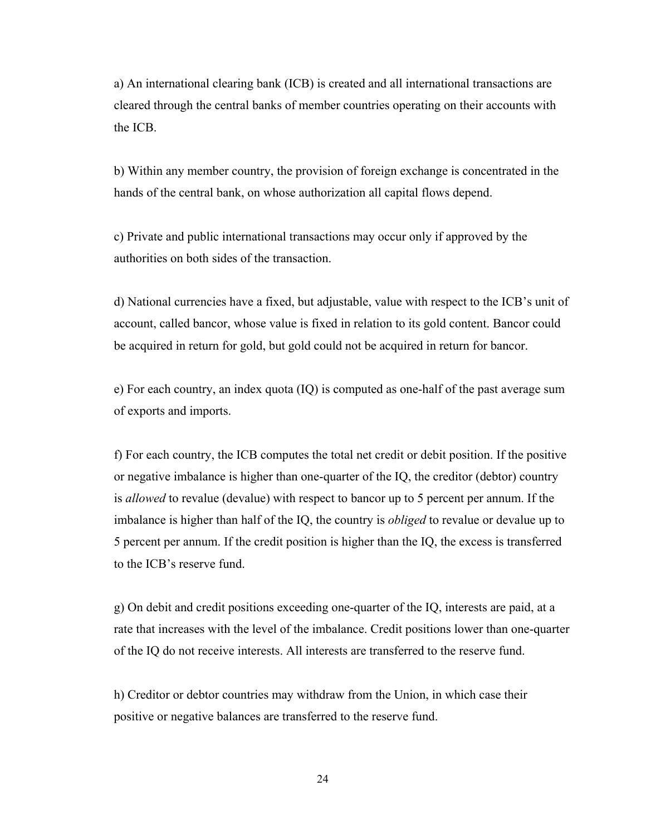a) An international clearing bank (ICB) is created and all international transactions are cleared through the central banks of member countries operating on their accounts with the ICB.

b) Within any member country, the provision of foreign exchange is concentrated in the hands of the central bank, on whose authorization all capital flows depend.

c) Private and public international transactions may occur only if approved by the authorities on both sides of the transaction.

d) National currencies have a fixed, but adjustable, value with respect to the ICB's unit of account, called bancor, whose value is fixed in relation to its gold content. Bancor could be acquired in return for gold, but gold could not be acquired in return for bancor.

e) For each country, an index quota (IQ) is computed as one-half of the past average sum of exports and imports.

f) For each country, the ICB computes the total net credit or debit position. If the positive or negative imbalance is higher than one-quarter of the IQ, the creditor (debtor) country is *allowed* to revalue (devalue) with respect to bancor up to 5 percent per annum. If the imbalance is higher than half of the IQ, the country is *obliged* to revalue or devalue up to 5 percent per annum. If the credit position is higher than the IQ, the excess is transferred to the ICB's reserve fund.

g) On debit and credit positions exceeding one-quarter of the IQ, interests are paid, at a rate that increases with the level of the imbalance. Credit positions lower than one-quarter of the IQ do not receive interests. All interests are transferred to the reserve fund.

h) Creditor or debtor countries may withdraw from the Union, in which case their positive or negative balances are transferred to the reserve fund.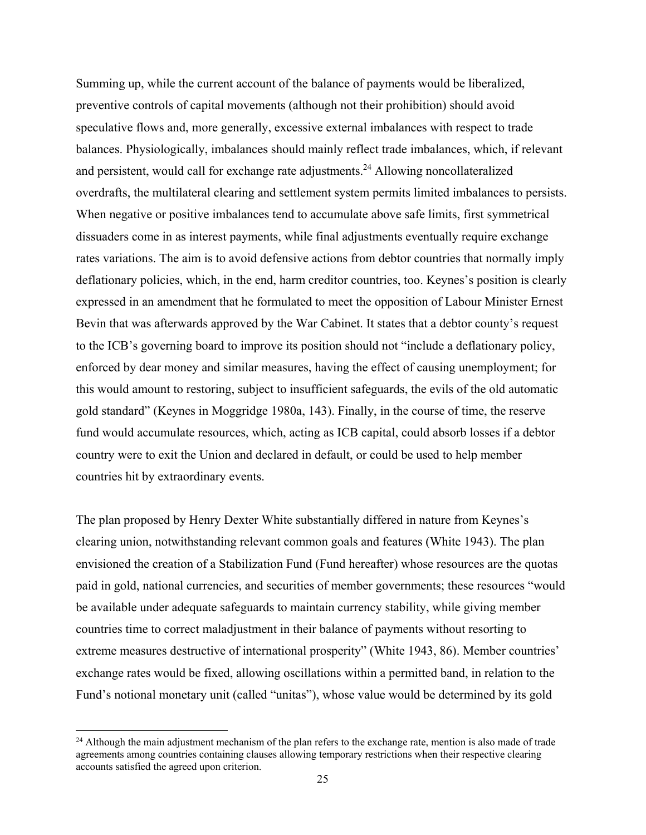Summing up, while the current account of the balance of payments would be liberalized, preventive controls of capital movements (although not their prohibition) should avoid speculative flows and, more generally, excessive external imbalances with respect to trade balances. Physiologically, imbalances should mainly reflect trade imbalances, which, if relevant and persistent, would call for exchange rate adjustments.<sup>24</sup> Allowing noncollateralized overdrafts, the multilateral clearing and settlement system permits limited imbalances to persists. When negative or positive imbalances tend to accumulate above safe limits, first symmetrical dissuaders come in as interest payments, while final adjustments eventually require exchange rates variations. The aim is to avoid defensive actions from debtor countries that normally imply deflationary policies, which, in the end, harm creditor countries, too. Keynes's position is clearly expressed in an amendment that he formulated to meet the opposition of Labour Minister Ernest Bevin that was afterwards approved by the War Cabinet. It states that a debtor county's request to the ICB's governing board to improve its position should not "include a deflationary policy, enforced by dear money and similar measures, having the effect of causing unemployment; for this would amount to restoring, subject to insufficient safeguards, the evils of the old automatic gold standard" (Keynes in Moggridge 1980a, 143). Finally, in the course of time, the reserve fund would accumulate resources, which, acting as ICB capital, could absorb losses if a debtor country were to exit the Union and declared in default, or could be used to help member countries hit by extraordinary events.

The plan proposed by Henry Dexter White substantially differed in nature from Keynes's clearing union, notwithstanding relevant common goals and features (White 1943). The plan envisioned the creation of a Stabilization Fund (Fund hereafter) whose resources are the quotas paid in gold, national currencies, and securities of member governments; these resources "would be available under adequate safeguards to maintain currency stability, while giving member countries time to correct maladjustment in their balance of payments without resorting to extreme measures destructive of international prosperity" (White 1943, 86). Member countries' exchange rates would be fixed, allowing oscillations within a permitted band, in relation to the Fund's notional monetary unit (called "unitas"), whose value would be determined by its gold

<sup>&</sup>lt;sup>24</sup> Although the main adjustment mechanism of the plan refers to the exchange rate, mention is also made of trade agreements among countries containing clauses allowing temporary restrictions when their respective clearing accounts satisfied the agreed upon criterion.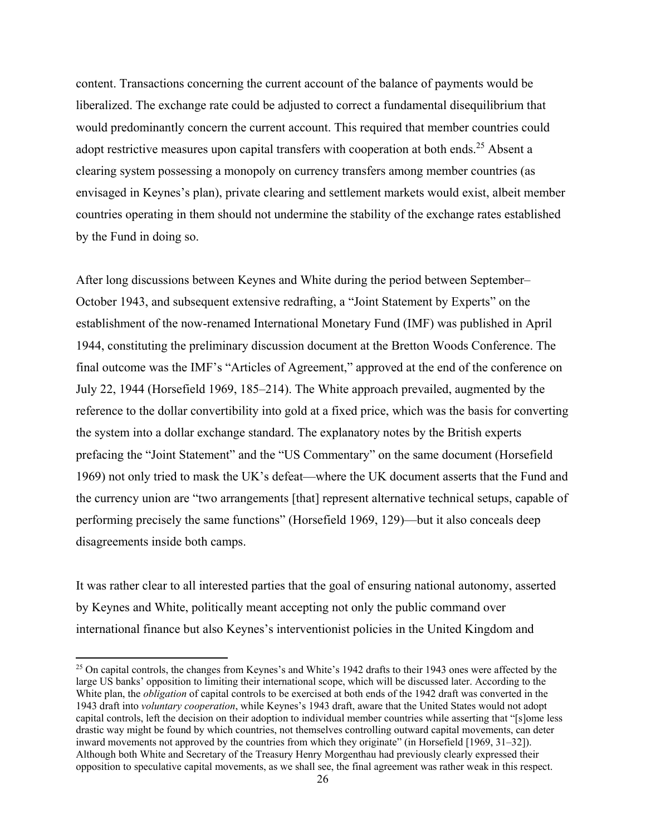content. Transactions concerning the current account of the balance of payments would be liberalized. The exchange rate could be adjusted to correct a fundamental disequilibrium that would predominantly concern the current account. This required that member countries could adopt restrictive measures upon capital transfers with cooperation at both ends.<sup>25</sup> Absent a clearing system possessing a monopoly on currency transfers among member countries (as envisaged in Keynes's plan), private clearing and settlement markets would exist, albeit member countries operating in them should not undermine the stability of the exchange rates established by the Fund in doing so.

After long discussions between Keynes and White during the period between September– October 1943, and subsequent extensive redrafting, a "Joint Statement by Experts" on the establishment of the now-renamed International Monetary Fund (IMF) was published in April 1944, constituting the preliminary discussion document at the Bretton Woods Conference. The final outcome was the IMF's "Articles of Agreement," approved at the end of the conference on July 22, 1944 (Horsefield 1969, 185–214). The White approach prevailed, augmented by the reference to the dollar convertibility into gold at a fixed price, which was the basis for converting the system into a dollar exchange standard. The explanatory notes by the British experts prefacing the "Joint Statement" and the "US Commentary" on the same document (Horsefield 1969) not only tried to mask the UK's defeat—where the UK document asserts that the Fund and the currency union are "two arrangements [that] represent alternative technical setups, capable of performing precisely the same functions" (Horsefield 1969, 129)—but it also conceals deep disagreements inside both camps.

It was rather clear to all interested parties that the goal of ensuring national autonomy, asserted by Keynes and White, politically meant accepting not only the public command over international finance but also Keynes's interventionist policies in the United Kingdom and

 $25$  On capital controls, the changes from Keynes's and White's 1942 drafts to their 1943 ones were affected by the large US banks' opposition to limiting their international scope, which will be discussed later. According to the White plan, the *obligation* of capital controls to be exercised at both ends of the 1942 draft was converted in the 1943 draft into *voluntary cooperation*, while Keynes's 1943 draft, aware that the United States would not adopt capital controls, left the decision on their adoption to individual member countries while asserting that "[s]ome less drastic way might be found by which countries, not themselves controlling outward capital movements, can deter inward movements not approved by the countries from which they originate" (in Horsefield [1969, 31–32]). Although both White and Secretary of the Treasury Henry Morgenthau had previously clearly expressed their opposition to speculative capital movements, as we shall see, the final agreement was rather weak in this respect.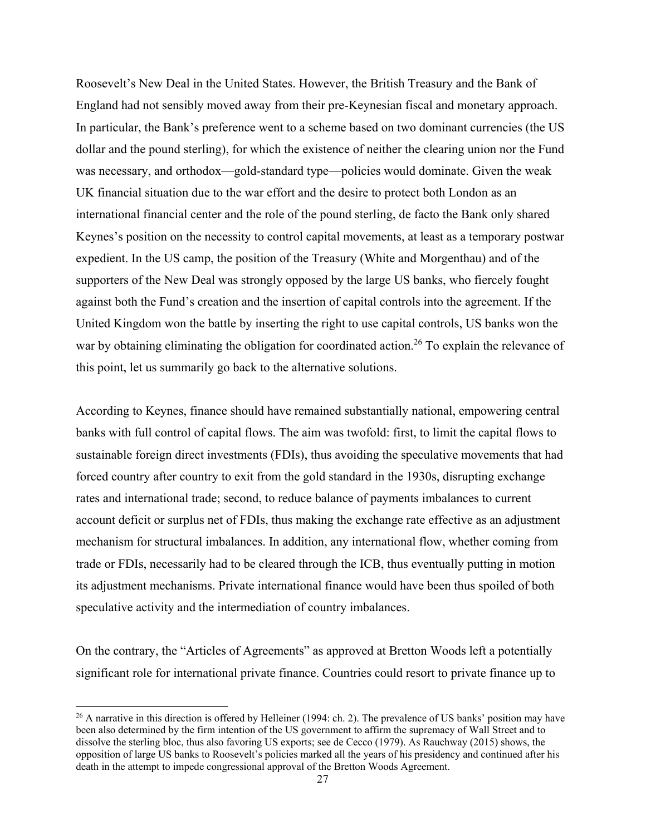Roosevelt's New Deal in the United States. However, the British Treasury and the Bank of England had not sensibly moved away from their pre-Keynesian fiscal and monetary approach. In particular, the Bank's preference went to a scheme based on two dominant currencies (the US dollar and the pound sterling), for which the existence of neither the clearing union nor the Fund was necessary, and orthodox—gold-standard type—policies would dominate. Given the weak UK financial situation due to the war effort and the desire to protect both London as an international financial center and the role of the pound sterling, de facto the Bank only shared Keynes's position on the necessity to control capital movements, at least as a temporary postwar expedient. In the US camp, the position of the Treasury (White and Morgenthau) and of the supporters of the New Deal was strongly opposed by the large US banks, who fiercely fought against both the Fund's creation and the insertion of capital controls into the agreement. If the United Kingdom won the battle by inserting the right to use capital controls, US banks won the war by obtaining eliminating the obligation for coordinated action.<sup>26</sup> To explain the relevance of this point, let us summarily go back to the alternative solutions.

According to Keynes, finance should have remained substantially national, empowering central banks with full control of capital flows. The aim was twofold: first, to limit the capital flows to sustainable foreign direct investments (FDIs), thus avoiding the speculative movements that had forced country after country to exit from the gold standard in the 1930s, disrupting exchange rates and international trade; second, to reduce balance of payments imbalances to current account deficit or surplus net of FDIs, thus making the exchange rate effective as an adjustment mechanism for structural imbalances. In addition, any international flow, whether coming from trade or FDIs, necessarily had to be cleared through the ICB, thus eventually putting in motion its adjustment mechanisms. Private international finance would have been thus spoiled of both speculative activity and the intermediation of country imbalances.

On the contrary, the "Articles of Agreements" as approved at Bretton Woods left a potentially significant role for international private finance. Countries could resort to private finance up to

 $26$  A narrative in this direction is offered by Helleiner (1994: ch. 2). The prevalence of US banks' position may have been also determined by the firm intention of the US government to affirm the supremacy of Wall Street and to dissolve the sterling bloc, thus also favoring US exports; see de Cecco (1979). As Rauchway (2015) shows, the opposition of large US banks to Roosevelt's policies marked all the years of his presidency and continued after his death in the attempt to impede congressional approval of the Bretton Woods Agreement.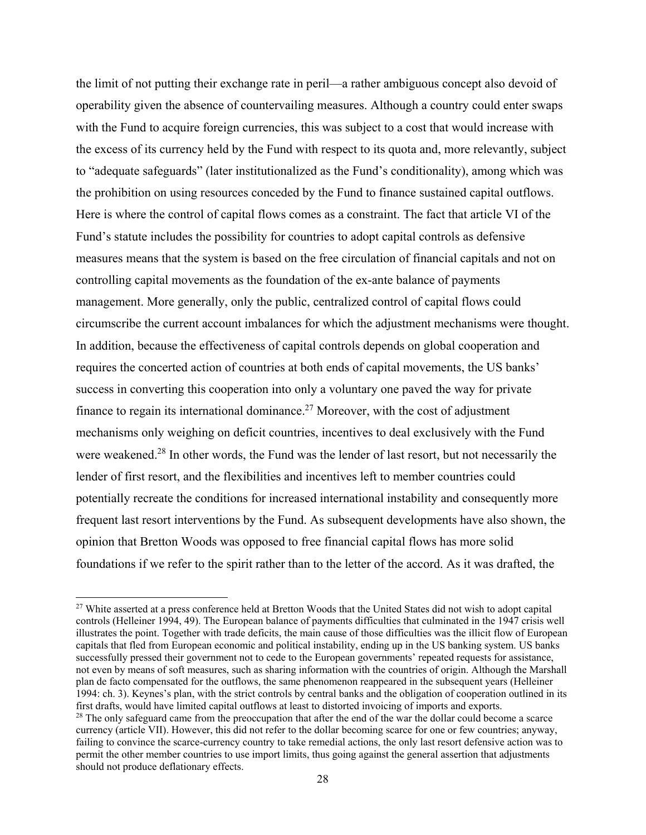the limit of not putting their exchange rate in peril—a rather ambiguous concept also devoid of operability given the absence of countervailing measures. Although a country could enter swaps with the Fund to acquire foreign currencies, this was subject to a cost that would increase with the excess of its currency held by the Fund with respect to its quota and, more relevantly, subject to "adequate safeguards" (later institutionalized as the Fund's conditionality), among which was the prohibition on using resources conceded by the Fund to finance sustained capital outflows. Here is where the control of capital flows comes as a constraint. The fact that article VI of the Fund's statute includes the possibility for countries to adopt capital controls as defensive measures means that the system is based on the free circulation of financial capitals and not on controlling capital movements as the foundation of the ex-ante balance of payments management. More generally, only the public, centralized control of capital flows could circumscribe the current account imbalances for which the adjustment mechanisms were thought. In addition, because the effectiveness of capital controls depends on global cooperation and requires the concerted action of countries at both ends of capital movements, the US banks' success in converting this cooperation into only a voluntary one paved the way for private finance to regain its international dominance.<sup>27</sup> Moreover, with the cost of adjustment mechanisms only weighing on deficit countries, incentives to deal exclusively with the Fund were weakened.<sup>28</sup> In other words, the Fund was the lender of last resort, but not necessarily the lender of first resort, and the flexibilities and incentives left to member countries could potentially recreate the conditions for increased international instability and consequently more frequent last resort interventions by the Fund. As subsequent developments have also shown, the opinion that Bretton Woods was opposed to free financial capital flows has more solid foundations if we refer to the spirit rather than to the letter of the accord. As it was drafted, the

<sup>&</sup>lt;sup>27</sup> White asserted at a press conference held at Bretton Woods that the United States did not wish to adopt capital controls (Helleiner 1994, 49). The European balance of payments difficulties that culminated in the 1947 crisis well illustrates the point. Together with trade deficits, the main cause of those difficulties was the illicit flow of European capitals that fled from European economic and political instability, ending up in the US banking system. US banks successfully pressed their government not to cede to the European governments' repeated requests for assistance, not even by means of soft measures, such as sharing information with the countries of origin. Although the Marshall plan de facto compensated for the outflows, the same phenomenon reappeared in the subsequent years (Helleiner 1994: ch. 3). Keynes's plan, with the strict controls by central banks and the obligation of cooperation outlined in its first drafts, would have limited capital outflows at least to distorted invoicing of imports and exports. 28 The only safeguard came from the preoccupation that after the end of the war the dollar could become a scarce

currency (article VII). However, this did not refer to the dollar becoming scarce for one or few countries; anyway, failing to convince the scarce-currency country to take remedial actions, the only last resort defensive action was to permit the other member countries to use import limits, thus going against the general assertion that adjustments should not produce deflationary effects.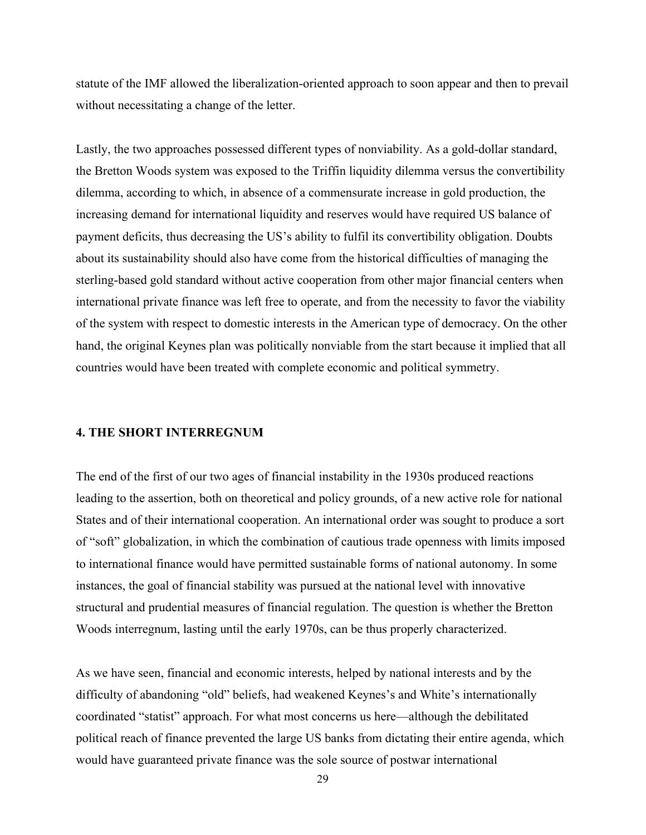statute of the IMF allowed the liberalization-oriented approach to soon appear and then to prevail without necessitating a change of the letter.

Lastly, the two approaches possessed different types of nonviability. As a gold-dollar standard, the Bretton Woods system was exposed to the Triffin liquidity dilemma versus the convertibility dilemma, according to which, in absence of a commensurate increase in gold production, the increasing demand for international liquidity and reserves would have required US balance of payment deficits, thus decreasing the US's ability to fulfil its convertibility obligation. Doubts about its sustainability should also have come from the historical difficulties of managing the sterling-based gold standard without active cooperation from other major financial centers when international private finance was left free to operate, and from the necessity to favor the viability of the system with respect to domestic interests in the American type of democracy. On the other hand, the original Keynes plan was politically nonviable from the start because it implied that all countries would have been treated with complete economic and political symmetry.

#### **4. THE SHORT INTERREGNUM**

The end of the first of our two ages of financial instability in the 1930s produced reactions leading to the assertion, both on theoretical and policy grounds, of a new active role for national States and of their international cooperation. An international order was sought to produce a sort of "soft" globalization, in which the combination of cautious trade openness with limits imposed to international finance would have permitted sustainable forms of national autonomy. In some instances, the goal of financial stability was pursued at the national level with innovative structural and prudential measures of financial regulation. The question is whether the Bretton Woods interregnum, lasting until the early 1970s, can be thus properly characterized.

As we have seen, financial and economic interests, helped by national interests and by the difficulty of abandoning "old" beliefs, had weakened Keynes's and White's internationally coordinated "statist" approach. For what most concerns us here—although the debilitated political reach of finance prevented the large US banks from dictating their entire agenda, which would have guaranteed private finance was the sole source of postwar international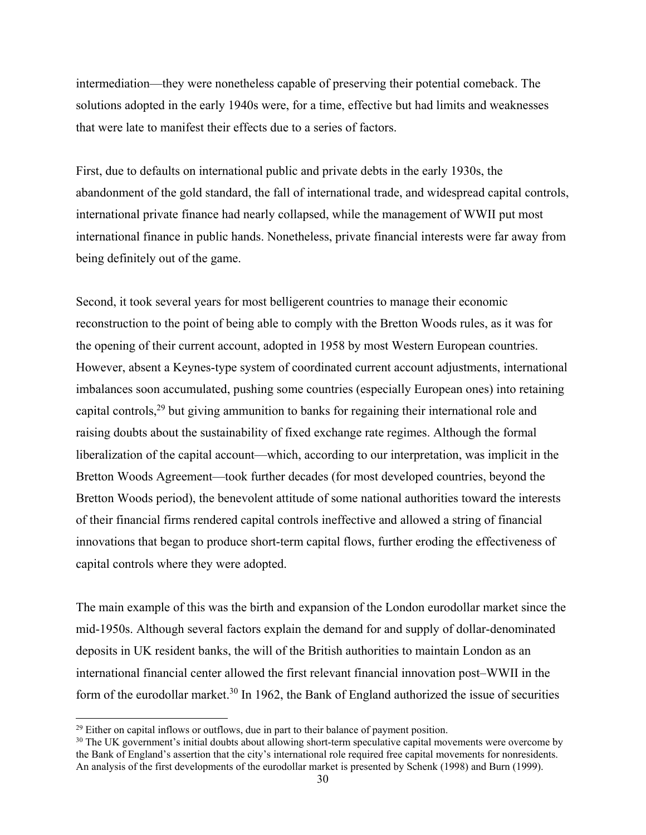intermediation—they were nonetheless capable of preserving their potential comeback. The solutions adopted in the early 1940s were, for a time, effective but had limits and weaknesses that were late to manifest their effects due to a series of factors.

First, due to defaults on international public and private debts in the early 1930s, the abandonment of the gold standard, the fall of international trade, and widespread capital controls, international private finance had nearly collapsed, while the management of WWII put most international finance in public hands. Nonetheless, private financial interests were far away from being definitely out of the game.

Second, it took several years for most belligerent countries to manage their economic reconstruction to the point of being able to comply with the Bretton Woods rules, as it was for the opening of their current account, adopted in 1958 by most Western European countries. However, absent a Keynes-type system of coordinated current account adjustments, international imbalances soon accumulated, pushing some countries (especially European ones) into retaining capital controls,<sup>29</sup> but giving ammunition to banks for regaining their international role and raising doubts about the sustainability of fixed exchange rate regimes. Although the formal liberalization of the capital account—which, according to our interpretation, was implicit in the Bretton Woods Agreement—took further decades (for most developed countries, beyond the Bretton Woods period), the benevolent attitude of some national authorities toward the interests of their financial firms rendered capital controls ineffective and allowed a string of financial innovations that began to produce short-term capital flows, further eroding the effectiveness of capital controls where they were adopted.

The main example of this was the birth and expansion of the London eurodollar market since the mid-1950s. Although several factors explain the demand for and supply of dollar-denominated deposits in UK resident banks, the will of the British authorities to maintain London as an international financial center allowed the first relevant financial innovation post–WWII in the form of the eurodollar market.<sup>30</sup> In 1962, the Bank of England authorized the issue of securities

<sup>&</sup>lt;sup>29</sup> Either on capital inflows or outflows, due in part to their balance of payment position.<br><sup>30</sup> The UK government's initial doubts about allowing short-term speculative capital movements were overcome by the Bank of England's assertion that the city's international role required free capital movements for nonresidents. An analysis of the first developments of the eurodollar market is presented by Schenk (1998) and Burn (1999).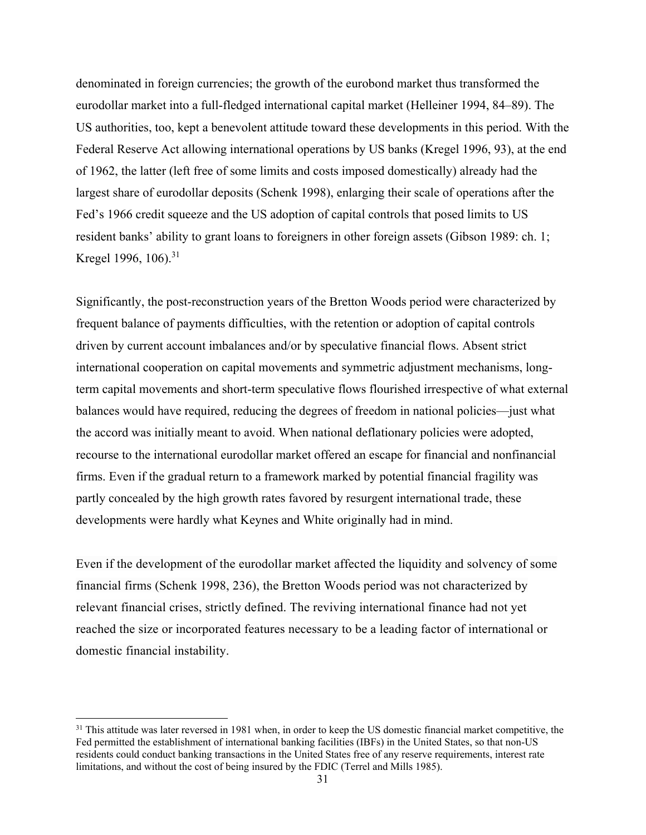denominated in foreign currencies; the growth of the eurobond market thus transformed the eurodollar market into a full-fledged international capital market (Helleiner 1994, 84–89). The US authorities, too, kept a benevolent attitude toward these developments in this period. With the Federal Reserve Act allowing international operations by US banks (Kregel 1996, 93), at the end of 1962, the latter (left free of some limits and costs imposed domestically) already had the largest share of eurodollar deposits (Schenk 1998), enlarging their scale of operations after the Fed's 1966 credit squeeze and the US adoption of capital controls that posed limits to US resident banks' ability to grant loans to foreigners in other foreign assets (Gibson 1989: ch. 1; Kregel 1996,  $106$ .<sup>31</sup>

Significantly, the post-reconstruction years of the Bretton Woods period were characterized by frequent balance of payments difficulties, with the retention or adoption of capital controls driven by current account imbalances and/or by speculative financial flows. Absent strict international cooperation on capital movements and symmetric adjustment mechanisms, longterm capital movements and short-term speculative flows flourished irrespective of what external balances would have required, reducing the degrees of freedom in national policies—just what the accord was initially meant to avoid. When national deflationary policies were adopted, recourse to the international eurodollar market offered an escape for financial and nonfinancial firms. Even if the gradual return to a framework marked by potential financial fragility was partly concealed by the high growth rates favored by resurgent international trade, these developments were hardly what Keynes and White originally had in mind.

Even if the development of the eurodollar market affected the liquidity and solvency of some financial firms (Schenk 1998, 236), the Bretton Woods period was not characterized by relevant financial crises, strictly defined. The reviving international finance had not yet reached the size or incorporated features necessary to be a leading factor of international or domestic financial instability.

 $\overline{a}$ 

<sup>&</sup>lt;sup>31</sup> This attitude was later reversed in 1981 when, in order to keep the US domestic financial market competitive, the Fed permitted the establishment of international banking facilities (IBFs) in the United States, so that non-US residents could conduct banking transactions in the United States free of any reserve requirements, interest rate limitations, and without the cost of being insured by the FDIC (Terrel and Mills 1985).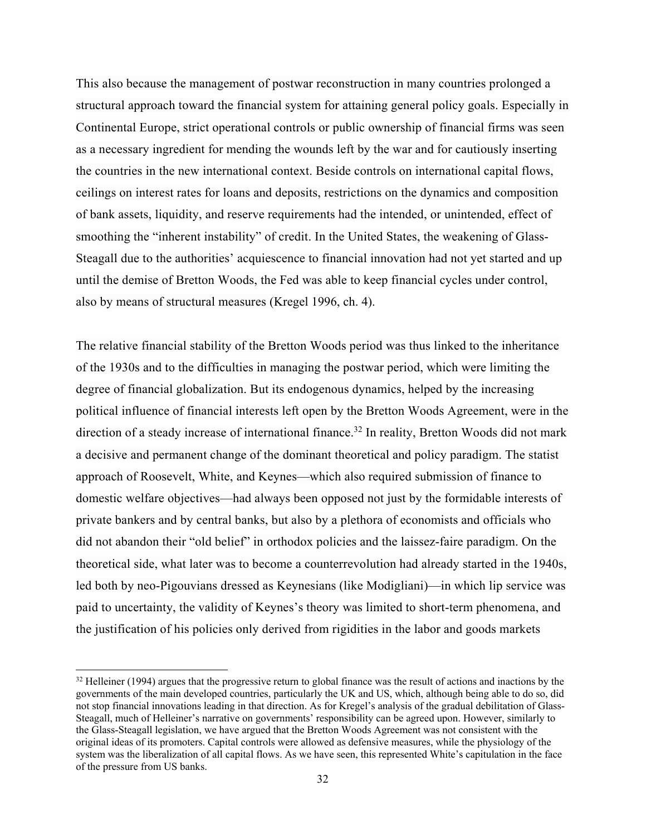This also because the management of postwar reconstruction in many countries prolonged a structural approach toward the financial system for attaining general policy goals. Especially in Continental Europe, strict operational controls or public ownership of financial firms was seen as a necessary ingredient for mending the wounds left by the war and for cautiously inserting the countries in the new international context. Beside controls on international capital flows, ceilings on interest rates for loans and deposits, restrictions on the dynamics and composition of bank assets, liquidity, and reserve requirements had the intended, or unintended, effect of smoothing the "inherent instability" of credit. In the United States, the weakening of Glass-Steagall due to the authorities' acquiescence to financial innovation had not yet started and up until the demise of Bretton Woods, the Fed was able to keep financial cycles under control, also by means of structural measures (Kregel 1996, ch. 4).

The relative financial stability of the Bretton Woods period was thus linked to the inheritance of the 1930s and to the difficulties in managing the postwar period, which were limiting the degree of financial globalization. But its endogenous dynamics, helped by the increasing political influence of financial interests left open by the Bretton Woods Agreement, were in the direction of a steady increase of international finance.<sup>32</sup> In reality, Bretton Woods did not mark a decisive and permanent change of the dominant theoretical and policy paradigm. The statist approach of Roosevelt, White, and Keynes—which also required submission of finance to domestic welfare objectives—had always been opposed not just by the formidable interests of private bankers and by central banks, but also by a plethora of economists and officials who did not abandon their "old belief" in orthodox policies and the laissez-faire paradigm. On the theoretical side, what later was to become a counterrevolution had already started in the 1940s, led both by neo-Pigouvians dressed as Keynesians (like Modigliani)—in which lip service was paid to uncertainty, the validity of Keynes's theory was limited to short-term phenomena, and the justification of his policies only derived from rigidities in the labor and goods markets

<sup>&</sup>lt;sup>32</sup> Helleiner (1994) argues that the progressive return to global finance was the result of actions and inactions by the governments of the main developed countries, particularly the UK and US, which, although being able to do so, did not stop financial innovations leading in that direction. As for Kregel's analysis of the gradual debilitation of Glass-Steagall, much of Helleiner's narrative on governments' responsibility can be agreed upon. However, similarly to the Glass-Steagall legislation, we have argued that the Bretton Woods Agreement was not consistent with the original ideas of its promoters. Capital controls were allowed as defensive measures, while the physiology of the system was the liberalization of all capital flows. As we have seen, this represented White's capitulation in the face of the pressure from US banks.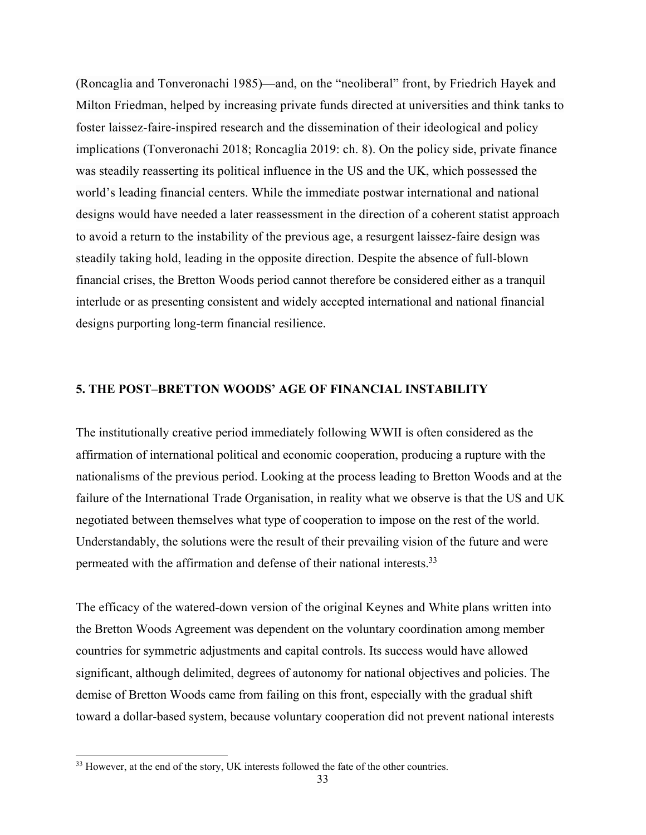(Roncaglia and Tonveronachi 1985)—and, on the "neoliberal" front, by Friedrich Hayek and Milton Friedman, helped by increasing private funds directed at universities and think tanks to foster laissez-faire-inspired research and the dissemination of their ideological and policy implications (Tonveronachi 2018; Roncaglia 2019: ch. 8). On the policy side, private finance was steadily reasserting its political influence in the US and the UK, which possessed the world's leading financial centers. While the immediate postwar international and national designs would have needed a later reassessment in the direction of a coherent statist approach to avoid a return to the instability of the previous age, a resurgent laissez-faire design was steadily taking hold, leading in the opposite direction. Despite the absence of full-blown financial crises, the Bretton Woods period cannot therefore be considered either as a tranquil interlude or as presenting consistent and widely accepted international and national financial designs purporting long-term financial resilience.

## **5. THE POST–BRETTON WOODS' AGE OF FINANCIAL INSTABILITY**

The institutionally creative period immediately following WWII is often considered as the affirmation of international political and economic cooperation, producing a rupture with the nationalisms of the previous period. Looking at the process leading to Bretton Woods and at the failure of the International Trade Organisation, in reality what we observe is that the US and UK negotiated between themselves what type of cooperation to impose on the rest of the world. Understandably, the solutions were the result of their prevailing vision of the future and were permeated with the affirmation and defense of their national interests.33

The efficacy of the watered-down version of the original Keynes and White plans written into the Bretton Woods Agreement was dependent on the voluntary coordination among member countries for symmetric adjustments and capital controls. Its success would have allowed significant, although delimited, degrees of autonomy for national objectives and policies. The demise of Bretton Woods came from failing on this front, especially with the gradual shift toward a dollar-based system, because voluntary cooperation did not prevent national interests

 $\overline{a}$ 

<sup>&</sup>lt;sup>33</sup> However, at the end of the story, UK interests followed the fate of the other countries.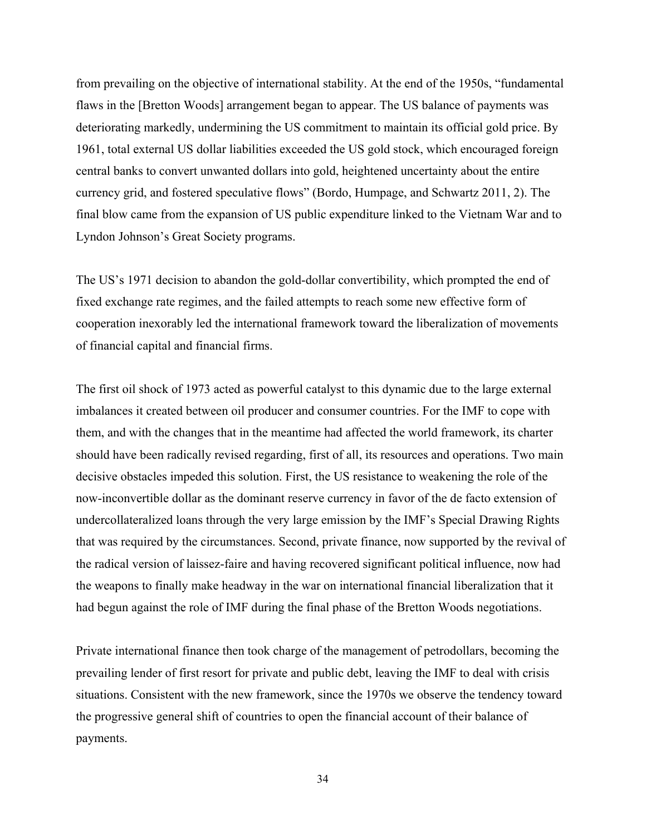from prevailing on the objective of international stability. At the end of the 1950s, "fundamental flaws in the [Bretton Woods] arrangement began to appear. The US balance of payments was deteriorating markedly, undermining the US commitment to maintain its official gold price. By 1961, total external US dollar liabilities exceeded the US gold stock, which encouraged foreign central banks to convert unwanted dollars into gold, heightened uncertainty about the entire currency grid, and fostered speculative flows" (Bordo, Humpage, and Schwartz 2011, 2). The final blow came from the expansion of US public expenditure linked to the Vietnam War and to Lyndon Johnson's Great Society programs.

The US's 1971 decision to abandon the gold-dollar convertibility, which prompted the end of fixed exchange rate regimes, and the failed attempts to reach some new effective form of cooperation inexorably led the international framework toward the liberalization of movements of financial capital and financial firms.

The first oil shock of 1973 acted as powerful catalyst to this dynamic due to the large external imbalances it created between oil producer and consumer countries. For the IMF to cope with them, and with the changes that in the meantime had affected the world framework, its charter should have been radically revised regarding, first of all, its resources and operations. Two main decisive obstacles impeded this solution. First, the US resistance to weakening the role of the now-inconvertible dollar as the dominant reserve currency in favor of the de facto extension of undercollateralized loans through the very large emission by the IMF's Special Drawing Rights that was required by the circumstances. Second, private finance, now supported by the revival of the radical version of laissez-faire and having recovered significant political influence, now had the weapons to finally make headway in the war on international financial liberalization that it had begun against the role of IMF during the final phase of the Bretton Woods negotiations.

Private international finance then took charge of the management of petrodollars, becoming the prevailing lender of first resort for private and public debt, leaving the IMF to deal with crisis situations. Consistent with the new framework, since the 1970s we observe the tendency toward the progressive general shift of countries to open the financial account of their balance of payments.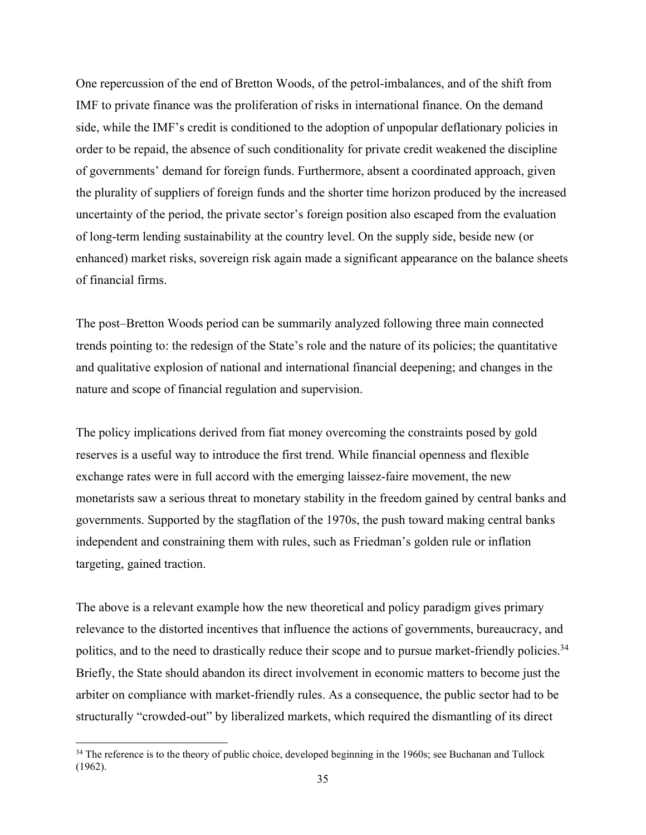One repercussion of the end of Bretton Woods, of the petrol-imbalances, and of the shift from IMF to private finance was the proliferation of risks in international finance. On the demand side, while the IMF's credit is conditioned to the adoption of unpopular deflationary policies in order to be repaid, the absence of such conditionality for private credit weakened the discipline of governments' demand for foreign funds. Furthermore, absent a coordinated approach, given the plurality of suppliers of foreign funds and the shorter time horizon produced by the increased uncertainty of the period, the private sector's foreign position also escaped from the evaluation of long-term lending sustainability at the country level. On the supply side, beside new (or enhanced) market risks, sovereign risk again made a significant appearance on the balance sheets of financial firms.

The post–Bretton Woods period can be summarily analyzed following three main connected trends pointing to: the redesign of the State's role and the nature of its policies; the quantitative and qualitative explosion of national and international financial deepening; and changes in the nature and scope of financial regulation and supervision.

The policy implications derived from fiat money overcoming the constraints posed by gold reserves is a useful way to introduce the first trend. While financial openness and flexible exchange rates were in full accord with the emerging laissez-faire movement, the new monetarists saw a serious threat to monetary stability in the freedom gained by central banks and governments. Supported by the stagflation of the 1970s, the push toward making central banks independent and constraining them with rules, such as Friedman's golden rule or inflation targeting, gained traction.

The above is a relevant example how the new theoretical and policy paradigm gives primary relevance to the distorted incentives that influence the actions of governments, bureaucracy, and politics, and to the need to drastically reduce their scope and to pursue market-friendly policies.<sup>34</sup> Briefly, the State should abandon its direct involvement in economic matters to become just the arbiter on compliance with market-friendly rules. As a consequence, the public sector had to be structurally "crowded-out" by liberalized markets, which required the dismantling of its direct

<sup>&</sup>lt;sup>34</sup> The reference is to the theory of public choice, developed beginning in the 1960s; see Buchanan and Tullock (1962).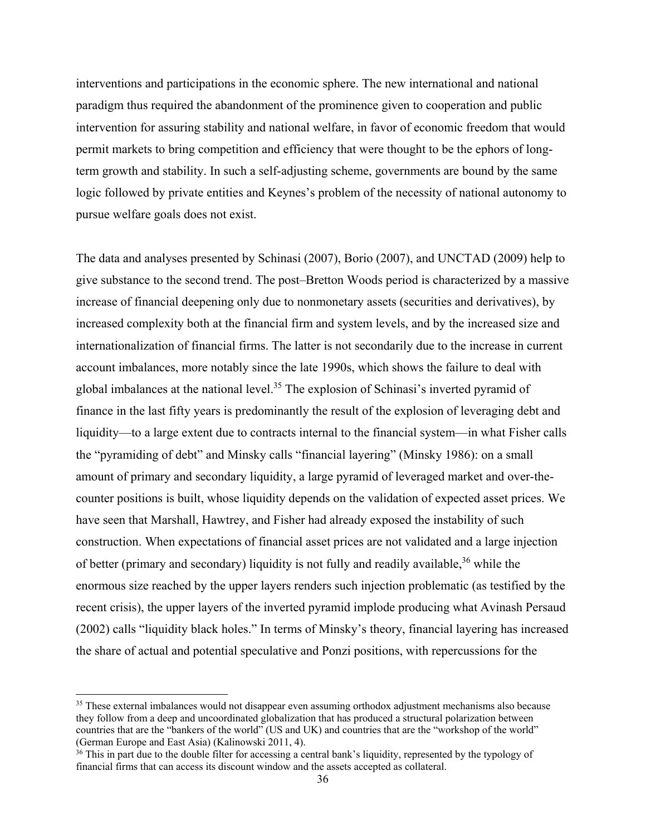interventions and participations in the economic sphere. The new international and national paradigm thus required the abandonment of the prominence given to cooperation and public intervention for assuring stability and national welfare, in favor of economic freedom that would permit markets to bring competition and efficiency that were thought to be the ephors of longterm growth and stability. In such a self-adjusting scheme, governments are bound by the same logic followed by private entities and Keynes's problem of the necessity of national autonomy to pursue welfare goals does not exist.

The data and analyses presented by Schinasi (2007), Borio (2007), and UNCTAD (2009) help to give substance to the second trend. The post–Bretton Woods period is characterized by a massive increase of financial deepening only due to nonmonetary assets (securities and derivatives), by increased complexity both at the financial firm and system levels, and by the increased size and internationalization of financial firms. The latter is not secondarily due to the increase in current account imbalances, more notably since the late 1990s, which shows the failure to deal with global imbalances at the national level.<sup>35</sup> The explosion of Schinasi's inverted pyramid of finance in the last fifty years is predominantly the result of the explosion of leveraging debt and liquidity—to a large extent due to contracts internal to the financial system—in what Fisher calls the "pyramiding of debt" and Minsky calls "financial layering" (Minsky 1986): on a small amount of primary and secondary liquidity, a large pyramid of leveraged market and over-thecounter positions is built, whose liquidity depends on the validation of expected asset prices. We have seen that Marshall, Hawtrey, and Fisher had already exposed the instability of such construction. When expectations of financial asset prices are not validated and a large injection of better (primary and secondary) liquidity is not fully and readily available,  $36$  while the enormous size reached by the upper layers renders such injection problematic (as testified by the recent crisis), the upper layers of the inverted pyramid implode producing what Avinash Persaud (2002) calls "liquidity black holes." In terms of Minsky's theory, financial layering has increased the share of actual and potential speculative and Ponzi positions, with repercussions for the

<sup>&</sup>lt;sup>35</sup> These external imbalances would not disappear even assuming orthodox adjustment mechanisms also because they follow from a deep and uncoordinated globalization that has produced a structural polarization between countries that are the "bankers of the world" (US and UK) and countries that are the "workshop of the world" (German Europe and East Asia) (Kalinowski 2011, 4).

<sup>&</sup>lt;sup>36</sup> This in part due to the double filter for accessing a central bank's liquidity, represented by the typology of financial firms that can access its discount window and the assets accepted as collateral.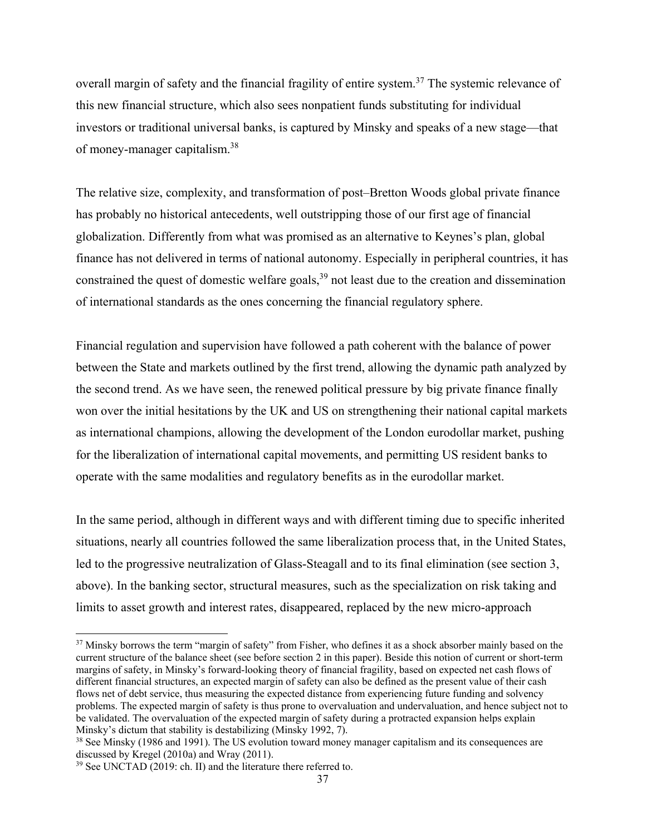overall margin of safety and the financial fragility of entire system.<sup>37</sup> The systemic relevance of this new financial structure, which also sees nonpatient funds substituting for individual investors or traditional universal banks, is captured by Minsky and speaks of a new stage—that of money-manager capitalism.38

The relative size, complexity, and transformation of post–Bretton Woods global private finance has probably no historical antecedents, well outstripping those of our first age of financial globalization. Differently from what was promised as an alternative to Keynes's plan, global finance has not delivered in terms of national autonomy. Especially in peripheral countries, it has constrained the quest of domestic welfare goals,<sup>39</sup> not least due to the creation and dissemination of international standards as the ones concerning the financial regulatory sphere.

Financial regulation and supervision have followed a path coherent with the balance of power between the State and markets outlined by the first trend, allowing the dynamic path analyzed by the second trend. As we have seen, the renewed political pressure by big private finance finally won over the initial hesitations by the UK and US on strengthening their national capital markets as international champions, allowing the development of the London eurodollar market, pushing for the liberalization of international capital movements, and permitting US resident banks to operate with the same modalities and regulatory benefits as in the eurodollar market.

In the same period, although in different ways and with different timing due to specific inherited situations, nearly all countries followed the same liberalization process that, in the United States, led to the progressive neutralization of Glass-Steagall and to its final elimination (see section 3, above). In the banking sector, structural measures, such as the specialization on risk taking and limits to asset growth and interest rates, disappeared, replaced by the new micro-approach

<sup>&</sup>lt;sup>37</sup> Minsky borrows the term "margin of safety" from Fisher, who defines it as a shock absorber mainly based on the current structure of the balance sheet (see before section 2 in this paper). Beside this notion of current or short-term margins of safety, in Minsky's forward-looking theory of financial fragility, based on expected net cash flows of different financial structures, an expected margin of safety can also be defined as the present value of their cash flows net of debt service, thus measuring the expected distance from experiencing future funding and solvency problems. The expected margin of safety is thus prone to overvaluation and undervaluation, and hence subject not to be validated. The overvaluation of the expected margin of safety during a protracted expansion helps explain Minsky's dictum that stability is destabilizing (Minsky 1992, 7).

<sup>&</sup>lt;sup>38</sup> See Minsky (1986 and 1991). The US evolution toward money manager capitalism and its consequences are discussed by Kregel (2010a) and Wray (2011).

 $39$  See UNCTAD (2019: ch. II) and the literature there referred to.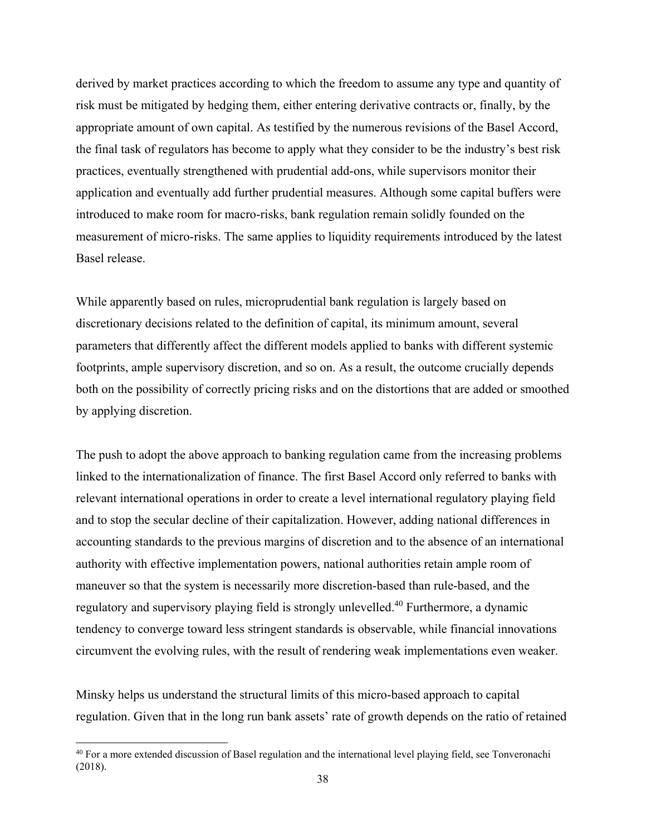derived by market practices according to which the freedom to assume any type and quantity of risk must be mitigated by hedging them, either entering derivative contracts or, finally, by the appropriate amount of own capital. As testified by the numerous revisions of the Basel Accord, the final task of regulators has become to apply what they consider to be the industry's best risk practices, eventually strengthened with prudential add-ons, while supervisors monitor their application and eventually add further prudential measures. Although some capital buffers were introduced to make room for macro-risks, bank regulation remain solidly founded on the measurement of micro-risks. The same applies to liquidity requirements introduced by the latest Basel release.

While apparently based on rules, microprudential bank regulation is largely based on discretionary decisions related to the definition of capital, its minimum amount, several parameters that differently affect the different models applied to banks with different systemic footprints, ample supervisory discretion, and so on. As a result, the outcome crucially depends both on the possibility of correctly pricing risks and on the distortions that are added or smoothed by applying discretion.

The push to adopt the above approach to banking regulation came from the increasing problems linked to the internationalization of finance. The first Basel Accord only referred to banks with relevant international operations in order to create a level international regulatory playing field and to stop the secular decline of their capitalization. However, adding national differences in accounting standards to the previous margins of discretion and to the absence of an international authority with effective implementation powers, national authorities retain ample room of maneuver so that the system is necessarily more discretion-based than rule-based, and the regulatory and supervisory playing field is strongly unlevelled.<sup>40</sup> Furthermore, a dynamic tendency to converge toward less stringent standards is observable, while financial innovations circumvent the evolving rules, with the result of rendering weak implementations even weaker.

Minsky helps us understand the structural limits of this micro-based approach to capital regulation. Given that in the long run bank assets' rate of growth depends on the ratio of retained

<sup>&</sup>lt;sup>40</sup> For a more extended discussion of Basel regulation and the international level playing field, see Tonveronachi (2018).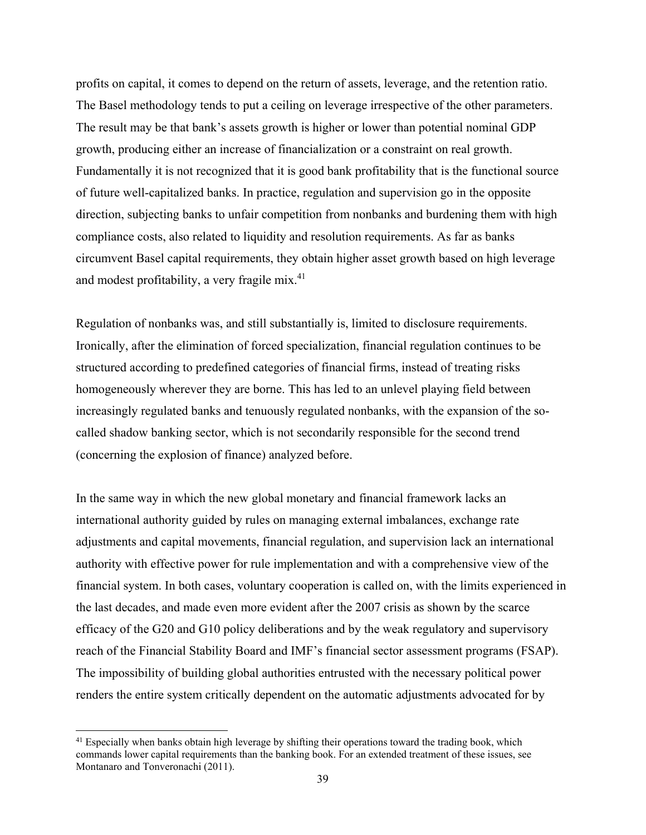profits on capital, it comes to depend on the return of assets, leverage, and the retention ratio. The Basel methodology tends to put a ceiling on leverage irrespective of the other parameters. The result may be that bank's assets growth is higher or lower than potential nominal GDP growth, producing either an increase of financialization or a constraint on real growth. Fundamentally it is not recognized that it is good bank profitability that is the functional source of future well-capitalized banks. In practice, regulation and supervision go in the opposite direction, subjecting banks to unfair competition from nonbanks and burdening them with high compliance costs, also related to liquidity and resolution requirements. As far as banks circumvent Basel capital requirements, they obtain higher asset growth based on high leverage and modest profitability, a very fragile mix.<sup>41</sup>

Regulation of nonbanks was, and still substantially is, limited to disclosure requirements. Ironically, after the elimination of forced specialization, financial regulation continues to be structured according to predefined categories of financial firms, instead of treating risks homogeneously wherever they are borne. This has led to an unlevel playing field between increasingly regulated banks and tenuously regulated nonbanks, with the expansion of the socalled shadow banking sector, which is not secondarily responsible for the second trend (concerning the explosion of finance) analyzed before.

In the same way in which the new global monetary and financial framework lacks an international authority guided by rules on managing external imbalances, exchange rate adjustments and capital movements, financial regulation, and supervision lack an international authority with effective power for rule implementation and with a comprehensive view of the financial system. In both cases, voluntary cooperation is called on, with the limits experienced in the last decades, and made even more evident after the 2007 crisis as shown by the scarce efficacy of the G20 and G10 policy deliberations and by the weak regulatory and supervisory reach of the Financial Stability Board and IMF's financial sector assessment programs (FSAP). The impossibility of building global authorities entrusted with the necessary political power renders the entire system critically dependent on the automatic adjustments advocated for by

<sup>&</sup>lt;sup>41</sup> Especially when banks obtain high leverage by shifting their operations toward the trading book, which commands lower capital requirements than the banking book. For an extended treatment of these issues, see Montanaro and Tonveronachi (2011).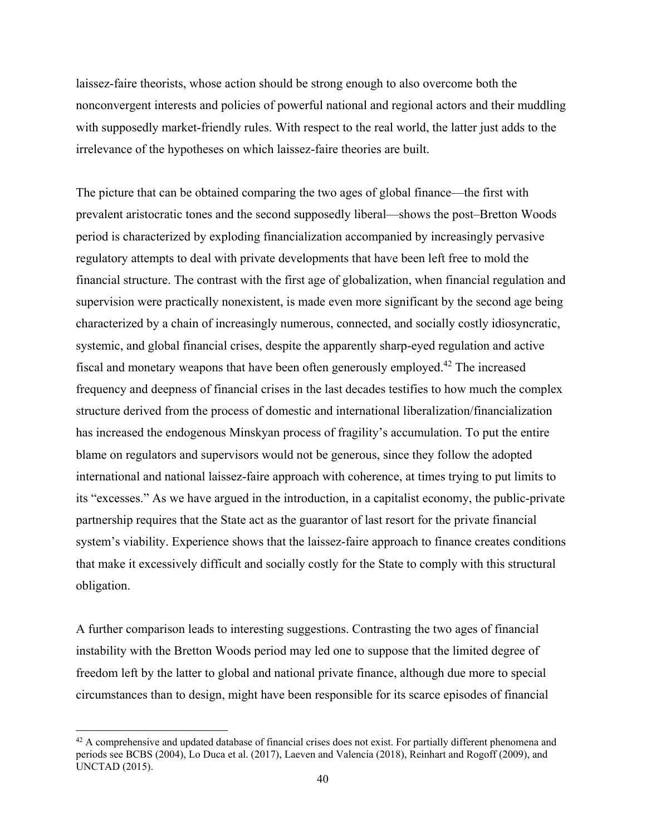laissez-faire theorists, whose action should be strong enough to also overcome both the nonconvergent interests and policies of powerful national and regional actors and their muddling with supposedly market-friendly rules. With respect to the real world, the latter just adds to the irrelevance of the hypotheses on which laissez-faire theories are built.

The picture that can be obtained comparing the two ages of global finance—the first with prevalent aristocratic tones and the second supposedly liberal—shows the post–Bretton Woods period is characterized by exploding financialization accompanied by increasingly pervasive regulatory attempts to deal with private developments that have been left free to mold the financial structure. The contrast with the first age of globalization, when financial regulation and supervision were practically nonexistent, is made even more significant by the second age being characterized by a chain of increasingly numerous, connected, and socially costly idiosyncratic, systemic, and global financial crises, despite the apparently sharp-eyed regulation and active fiscal and monetary weapons that have been often generously employed.42 The increased frequency and deepness of financial crises in the last decades testifies to how much the complex structure derived from the process of domestic and international liberalization/financialization has increased the endogenous Minskyan process of fragility's accumulation. To put the entire blame on regulators and supervisors would not be generous, since they follow the adopted international and national laissez-faire approach with coherence, at times trying to put limits to its "excesses." As we have argued in the introduction, in a capitalist economy, the public-private partnership requires that the State act as the guarantor of last resort for the private financial system's viability. Experience shows that the laissez-faire approach to finance creates conditions that make it excessively difficult and socially costly for the State to comply with this structural obligation.

A further comparison leads to interesting suggestions. Contrasting the two ages of financial instability with the Bretton Woods period may led one to suppose that the limited degree of freedom left by the latter to global and national private finance, although due more to special circumstances than to design, might have been responsible for its scarce episodes of financial

 $42$  A comprehensive and updated database of financial crises does not exist. For partially different phenomena and periods see BCBS (2004), Lo Duca et al. (2017), Laeven and Valencia (2018), Reinhart and Rogoff (2009), and UNCTAD (2015).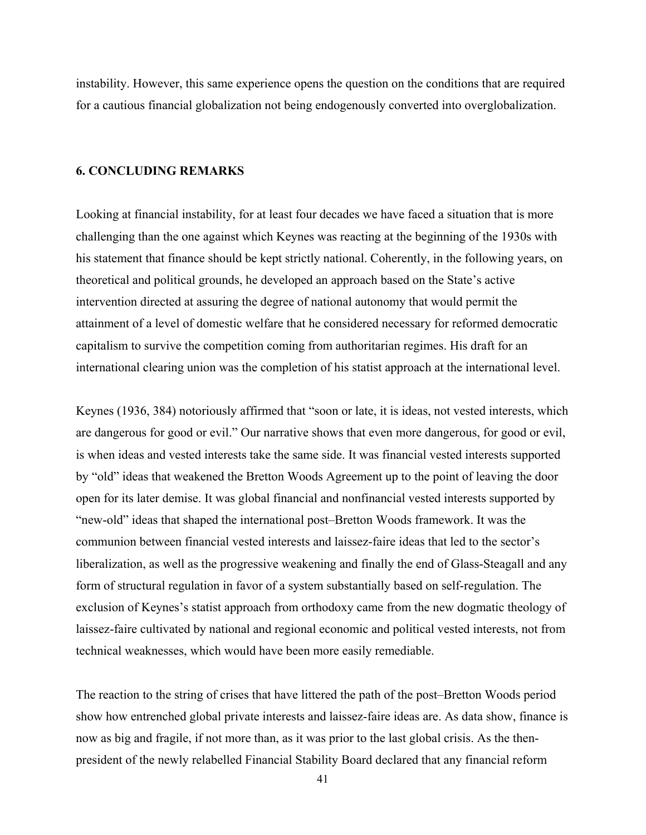instability. However, this same experience opens the question on the conditions that are required for a cautious financial globalization not being endogenously converted into overglobalization.

### **6. CONCLUDING REMARKS**

Looking at financial instability, for at least four decades we have faced a situation that is more challenging than the one against which Keynes was reacting at the beginning of the 1930s with his statement that finance should be kept strictly national. Coherently, in the following years, on theoretical and political grounds, he developed an approach based on the State's active intervention directed at assuring the degree of national autonomy that would permit the attainment of a level of domestic welfare that he considered necessary for reformed democratic capitalism to survive the competition coming from authoritarian regimes. His draft for an international clearing union was the completion of his statist approach at the international level.

Keynes (1936, 384) notoriously affirmed that "soon or late, it is ideas, not vested interests, which are dangerous for good or evil." Our narrative shows that even more dangerous, for good or evil, is when ideas and vested interests take the same side. It was financial vested interests supported by "old" ideas that weakened the Bretton Woods Agreement up to the point of leaving the door open for its later demise. It was global financial and nonfinancial vested interests supported by "new-old" ideas that shaped the international post–Bretton Woods framework. It was the communion between financial vested interests and laissez-faire ideas that led to the sector's liberalization, as well as the progressive weakening and finally the end of Glass-Steagall and any form of structural regulation in favor of a system substantially based on self-regulation. The exclusion of Keynes's statist approach from orthodoxy came from the new dogmatic theology of laissez-faire cultivated by national and regional economic and political vested interests, not from technical weaknesses, which would have been more easily remediable.

The reaction to the string of crises that have littered the path of the post–Bretton Woods period show how entrenched global private interests and laissez-faire ideas are. As data show, finance is now as big and fragile, if not more than, as it was prior to the last global crisis. As the thenpresident of the newly relabelled Financial Stability Board declared that any financial reform

41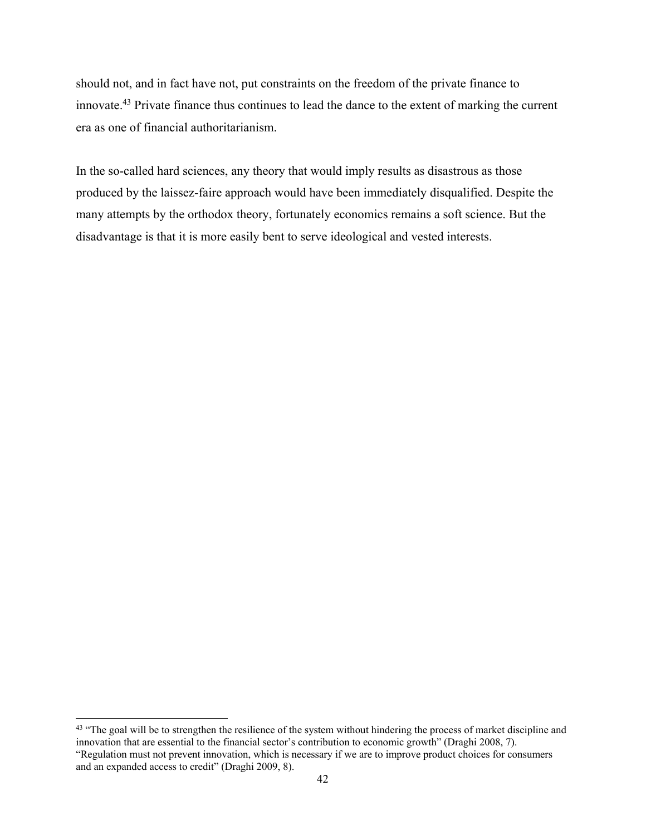should not, and in fact have not, put constraints on the freedom of the private finance to innovate.43 Private finance thus continues to lead the dance to the extent of marking the current era as one of financial authoritarianism.

In the so-called hard sciences, any theory that would imply results as disastrous as those produced by the laissez-faire approach would have been immediately disqualified. Despite the many attempts by the orthodox theory, fortunately economics remains a soft science. But the disadvantage is that it is more easily bent to serve ideological and vested interests.

 $\overline{a}$ 

<sup>&</sup>lt;sup>43</sup> "The goal will be to strengthen the resilience of the system without hindering the process of market discipline and innovation that are essential to the financial sector's contribution to economic growth" (Draghi 2008, 7). "Regulation must not prevent innovation, which is necessary if we are to improve product choices for consumers and an expanded access to credit" (Draghi 2009, 8).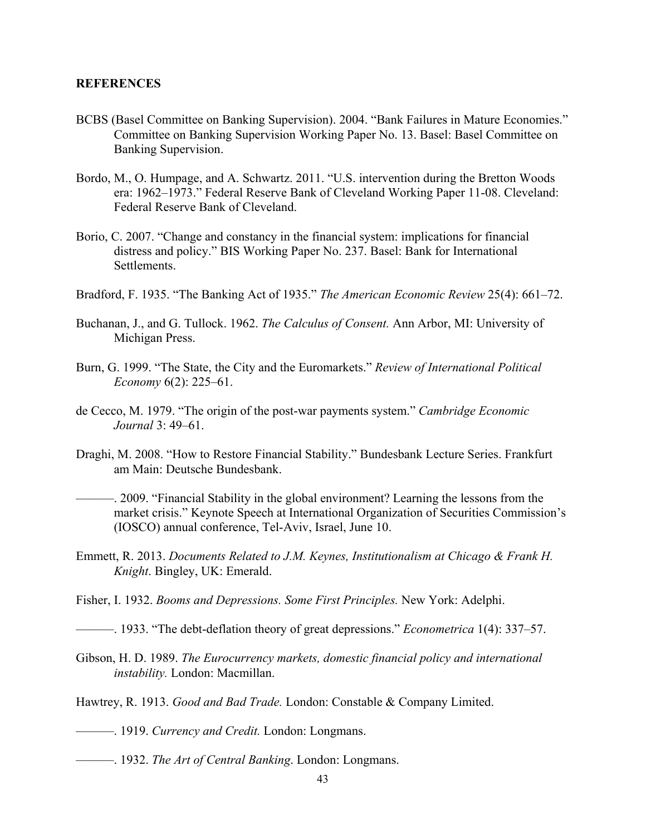### **REFERENCES**

- BCBS (Basel Committee on Banking Supervision). 2004. "Bank Failures in Mature Economies." Committee on Banking Supervision Working Paper No. 13. Basel: Basel Committee on Banking Supervision.
- Bordo, M., O. Humpage, and A. Schwartz. 2011. "U.S. intervention during the Bretton Woods era: 1962–1973." Federal Reserve Bank of Cleveland Working Paper 11-08. Cleveland: Federal Reserve Bank of Cleveland.
- Borio, C. 2007. "Change and constancy in the financial system: implications for financial distress and policy." BIS Working Paper No. 237. Basel: Bank for International Settlements.
- Bradford, F. 1935. "The Banking Act of 1935." *The American Economic Review* 25(4): 661–72.
- Buchanan, J., and G. Tullock. 1962. *The Calculus of Consent.* Ann Arbor, MI: University of Michigan Press.
- Burn, G. 1999. "The State, the City and the Euromarkets." *Review of International Political Economy* 6(2): 225–61.
- de Cecco, M. 1979. "The origin of the post-war payments system." *Cambridge Economic Journal* 3: 49–61.
- Draghi, M. 2008. "How to Restore Financial Stability." Bundesbank Lecture Series. Frankfurt am Main: Deutsche Bundesbank.
- ———. 2009. "Financial Stability in the global environment? Learning the lessons from the market crisis." Keynote Speech at International Organization of Securities Commission's (IOSCO) annual conference, Tel-Aviv, Israel, June 10.
- Emmett, R. 2013. *Documents Related to J.M. Keynes, Institutionalism at Chicago & Frank H. Knight*. Bingley, UK: Emerald.
- Fisher, I. 1932. *Booms and Depressions. Some First Principles.* New York: Adelphi.
- ———. 1933. "The debt-deflation theory of great depressions." *Econometrica* 1(4): 337–57.
- Gibson, H. D. 1989. *The Eurocurrency markets, domestic financial policy and international instability.* London: Macmillan.

Hawtrey, R. 1913. *Good and Bad Trade.* London: Constable & Company Limited.

———. 1919. *Currency and Credit.* London: Longmans.

———. 1932. *The Art of Central Banking*. London: Longmans.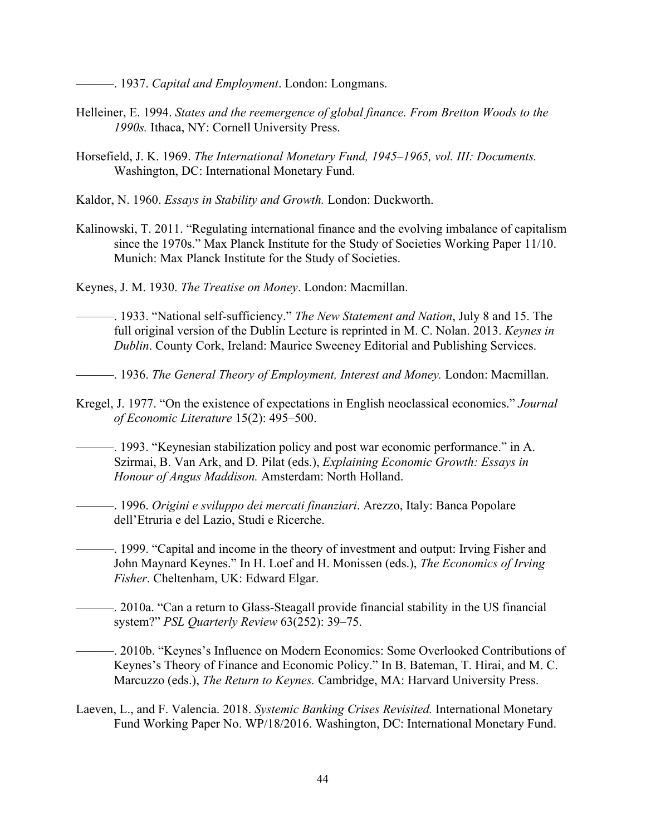———. 1937. *Capital and Employment*. London: Longmans.

- Helleiner, E. 1994. *States and the reemergence of global finance. From Bretton Woods to the 1990s.* Ithaca, NY: Cornell University Press.
- Horsefield, J. K. 1969. *The International Monetary Fund, 1945–1965, vol. III: Documents.* Washington, DC: International Monetary Fund.
- Kaldor, N. 1960. *Essays in Stability and Growth.* London: Duckworth.
- Kalinowski, T. 2011. "Regulating international finance and the evolving imbalance of capitalism since the 1970s." Max Planck Institute for the Study of Societies Working Paper 11/10. Munich: Max Planck Institute for the Study of Societies.
- Keynes, J. M. 1930. *The Treatise on Money*. London: Macmillan.
- ———. 1933. "National self-sufficiency." *The New Statement and Nation*, July 8 and 15. The full original version of the Dublin Lecture is reprinted in M. C. Nolan. 2013. *Keynes in Dublin*. County Cork, Ireland: Maurice Sweeney Editorial and Publishing Services.
- ———. 1936. *The General Theory of Employment, Interest and Money.* London: Macmillan.
- Kregel, J. 1977. "On the existence of expectations in English neoclassical economics." *Journal of Economic Literature* 15(2): 495–500.
	- ———. 1993. "Keynesian stabilization policy and post war economic performance." in A. Szirmai, B. Van Ark, and D. Pilat (eds.), *Explaining Economic Growth: Essays in Honour of Angus Maddison.* Amsterdam: North Holland.
- ———. 1996. *Origini e sviluppo dei mercati finanziari*. Arezzo, Italy: Banca Popolare dell'Etruria e del Lazio, Studi e Ricerche.
- ———. 1999. "Capital and income in the theory of investment and output: Irving Fisher and John Maynard Keynes." In H. Loef and H. Monissen (eds.), *The Economics of Irving Fisher*. Cheltenham, UK: Edward Elgar.
- ———. 2010a. "Can a return to Glass-Steagall provide financial stability in the US financial system?" *PSL Quarterly Review* 63(252): 39–75.
- ———. 2010b. "Keynes's Influence on Modern Economics: Some Overlooked Contributions of Keynes's Theory of Finance and Economic Policy." In B. Bateman, T. Hirai, and M. C. Marcuzzo (eds.), *The Return to Keynes.* Cambridge, MA: Harvard University Press.
- Laeven, L., and F. Valencia. 2018. *Systemic Banking Crises Revisited.* International Monetary Fund Working Paper No. WP/18/2016. Washington, DC: International Monetary Fund.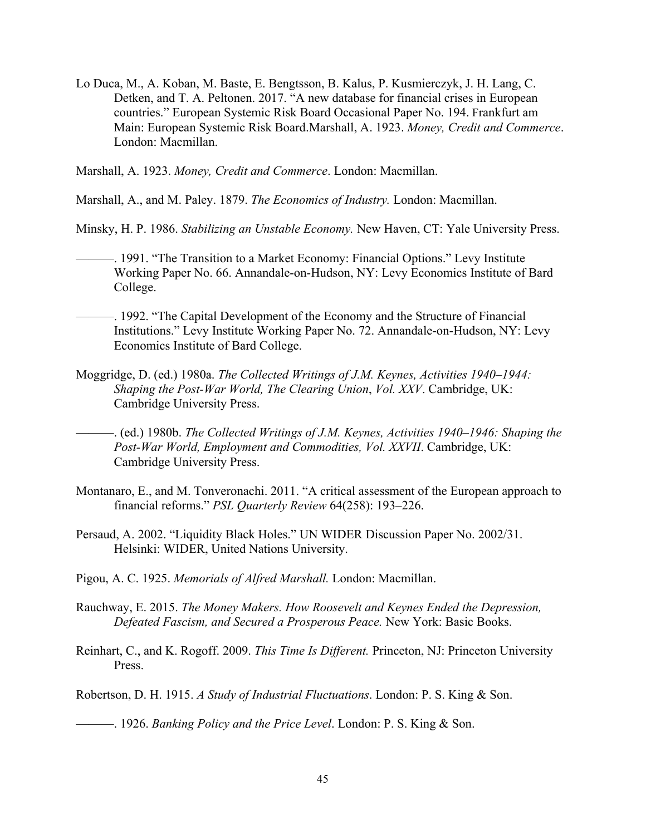Lo Duca, M., A. Koban, M. Baste, E. Bengtsson, B. Kalus, P. Kusmierczyk, J. H. Lang, C. Detken, and T. A. Peltonen. 2017. "A new database for financial crises in European countries." European Systemic Risk Board Occasional Paper No. 194. Frankfurt am Main: European Systemic Risk Board.Marshall, A. 1923. *Money, Credit and Commerce*. London: Macmillan.

Marshall, A. 1923. *Money, Credit and Commerce*. London: Macmillan.

Marshall, A., and M. Paley. 1879. *The Economics of Industry.* London: Macmillan.

Minsky, H. P. 1986. *Stabilizing an Unstable Economy.* New Haven, CT: Yale University Press.

- ———. 1991. "The Transition to a Market Economy: Financial Options." Levy Institute Working Paper No. 66. Annandale-on-Hudson, NY: Levy Economics Institute of Bard College.
- ———. 1992. "The Capital Development of the Economy and the Structure of Financial Institutions." Levy Institute Working Paper No. 72. Annandale-on-Hudson, NY: Levy Economics Institute of Bard College.
- Moggridge, D. (ed.) 1980a. *The Collected Writings of J.M. Keynes, Activities 1940–1944: Shaping the Post-War World, The Clearing Union*, *Vol. XXV*. Cambridge, UK: Cambridge University Press.

———. (ed.) 1980b. *The Collected Writings of J.M. Keynes, Activities 1940–1946: Shaping the Post-War World, Employment and Commodities, Vol. XXVII*. Cambridge, UK: Cambridge University Press.

- Montanaro, E., and M. Tonveronachi. 2011. "A critical assessment of the European approach to financial reforms." *PSL Quarterly Review* 64(258): 193–226.
- Persaud, A. 2002. "Liquidity Black Holes." UN WIDER Discussion Paper No. 2002/31. Helsinki: WIDER, United Nations University.

Pigou, A. C. 1925. *Memorials of Alfred Marshall.* London: Macmillan.

- Rauchway, E. 2015. *The Money Makers. How Roosevelt and Keynes Ended the Depression, Defeated Fascism, and Secured a Prosperous Peace.* New York: Basic Books.
- Reinhart, C., and K. Rogoff. 2009. *This Time Is Different.* Princeton, NJ: Princeton University Press.

Robertson, D. H. 1915. *A Study of Industrial Fluctuations*. London: P. S. King & Son.

———. 1926. *Banking Policy and the Price Level*. London: P. S. King & Son.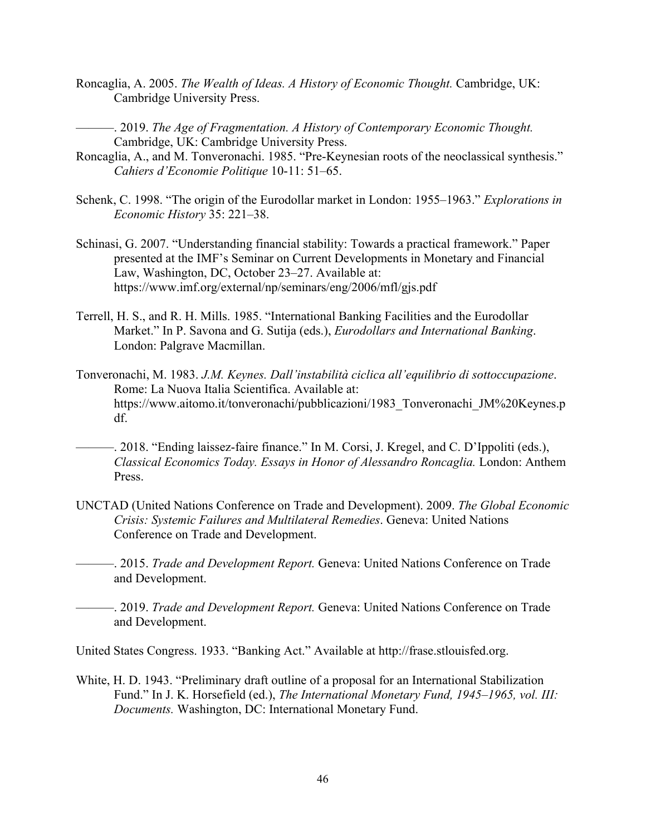- Roncaglia, A. 2005. *The Wealth of Ideas. A History of Economic Thought.* Cambridge, UK: Cambridge University Press.
- ———. 2019. *The Age of Fragmentation. A History of Contemporary Economic Thought.* Cambridge, UK: Cambridge University Press.
- Roncaglia, A., and M. Tonveronachi. 1985. "Pre-Keynesian roots of the neoclassical synthesis." *Cahiers d'Economie Politique* 10-11: 51–65.
- Schenk, C. 1998. "The origin of the Eurodollar market in London: 1955–1963." *Explorations in Economic History* 35: 221–38.
- Schinasi, G. 2007. "Understanding financial stability: Towards a practical framework." Paper presented at the IMF's Seminar on Current Developments in Monetary and Financial Law, Washington, DC, October 23–27. Available at: https://www.imf.org/external/np/seminars/eng/2006/mfl/gjs.pdf
- Terrell, H. S., and R. H. Mills. 1985. "International Banking Facilities and the Eurodollar Market." In P. Savona and G. Sutija (eds.), *Eurodollars and International Banking*. London: Palgrave Macmillan.
- Tonveronachi, M. 1983. *J.M. Keynes. Dall'instabilità ciclica all'equilibrio di sottoccupazione*. Rome: La Nuova Italia Scientifica. Available at: https://www.aitomo.it/tonveronachi/pubblicazioni/1983\_Tonveronachi\_JM%20Keynes.p df.
- ———. 2018. "Ending laissez-faire finance." In M. Corsi, J. Kregel, and C. D'Ippoliti (eds.), *Classical Economics Today. Essays in Honor of Alessandro Roncaglia.* London: Anthem Press.
- UNCTAD (United Nations Conference on Trade and Development). 2009. *The Global Economic Crisis: Systemic Failures and Multilateral Remedies*. Geneva: United Nations Conference on Trade and Development.
- ———. 2015. *Trade and Development Report.* Geneva: United Nations Conference on Trade and Development.
- ———. 2019. *Trade and Development Report.* Geneva: United Nations Conference on Trade and Development.

United States Congress. 1933. "Banking Act." Available at http://frase.stlouisfed.org.

White, H. D. 1943. "Preliminary draft outline of a proposal for an International Stabilization Fund." In J. K. Horsefield (ed.), *The International Monetary Fund, 1945–1965, vol. III: Documents.* Washington, DC: International Monetary Fund.